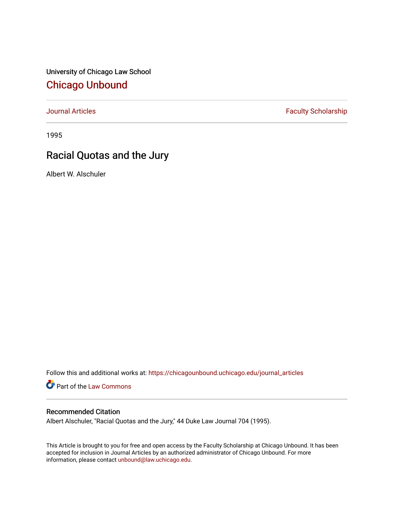University of Chicago Law School [Chicago Unbound](https://chicagounbound.uchicago.edu/)

[Journal Articles](https://chicagounbound.uchicago.edu/journal_articles) **Faculty Scholarship Faculty Scholarship** 

1995

# Racial Quotas and the Jury

Albert W. Alschuler

Follow this and additional works at: [https://chicagounbound.uchicago.edu/journal\\_articles](https://chicagounbound.uchicago.edu/journal_articles?utm_source=chicagounbound.uchicago.edu%2Fjournal_articles%2F1000&utm_medium=PDF&utm_campaign=PDFCoverPages) 

Part of the [Law Commons](http://network.bepress.com/hgg/discipline/578?utm_source=chicagounbound.uchicago.edu%2Fjournal_articles%2F1000&utm_medium=PDF&utm_campaign=PDFCoverPages)

## Recommended Citation

Albert Alschuler, "Racial Quotas and the Jury," 44 Duke Law Journal 704 (1995).

This Article is brought to you for free and open access by the Faculty Scholarship at Chicago Unbound. It has been accepted for inclusion in Journal Articles by an authorized administrator of Chicago Unbound. For more information, please contact [unbound@law.uchicago.edu](mailto:unbound@law.uchicago.edu).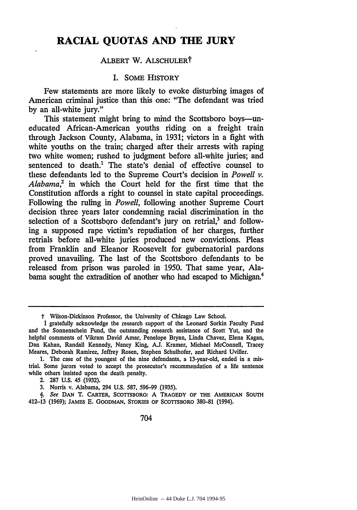# **RACIAL QUOTAS AND THE JURY**

#### ALBERT W. ALSCHULERT

#### I. SOME HISTORY

Few statements are more likely to evoke disturbing images of American criminal justice than this one: "The defendant was tried **by** an all-white jury."

This statement might bring to mind the Scottsboro boys—uneducated African-American youths riding on a freight train through Jackson County, Alabama, in 1931; victors in a fight with white youths on the train; charged after their arrests with raping two white women; rushed to judgment before all-white juries; and sentenced to death.<sup>1</sup> The state's denial of effective counsel to these defendants led to the Supreme Court's decision in *Powell v. Alabama,2* in which the Court held for the first time that the Constitution affords a right to counsel in state capital proceedings. Following the ruling in *Powell,* following another Supreme Court decision three years later condemning racial discrimination in the selection of a Scottsboro defendant's jury on retrial,<sup>3</sup> and following a supposed rape victim's repudiation of her charges, further retrials before all-white juries produced new convictions. Pleas from Franklin and Eleanor Roosevelt for gubernatorial pardons proved unavailing. The last of the Scottsboro defendants to be released from prison was paroled in 1950. That same year, Alabama sought the extradition of another who had escaped to Michigan.<sup>4</sup>

t Wilson-Dickinson Professor, the University of Chicago Law School.

I gratefully acknowledge the research support of the Leonard Sorkin Faculty Fund and the Sonnenschein Fund, the outstanding research assistance of Scott Yut, and the helpful comments of Vikram David Amar, Penelope Bryan, Linda Chavez, Elena Kagan, Dan Kahan, Randall Kennedy, Nancy King, **A.J.** Kramer, Michael McConnell, Tracey Meares, Deborah Ramirez, Jeffrey Rosen, Stephen Schulhofer, and Richard Uviller.

**<sup>1.</sup>** The case of the youngest of the nine defendants, a 13-year-old, ended in a mistrial. Some jurors voted to accept the prosecutor's recommendation of a life sentence while others insisted upon the death penalty.

<sup>2.</sup> **287 U.S.** 45 (1932).

**<sup>3.</sup>** Norris v. Alabama, 294 **U.S.** 587, 596-99 (1935).

*I.* See **DAN** T. CARTER, SCOTrSBORO: A TRAGEDY OF THE AMERICAN **SOUTH** 412-13 **(1969);** JAMES **E. GOODMAN,** STORIES OF SCOTrSBORO 380-81 (1994).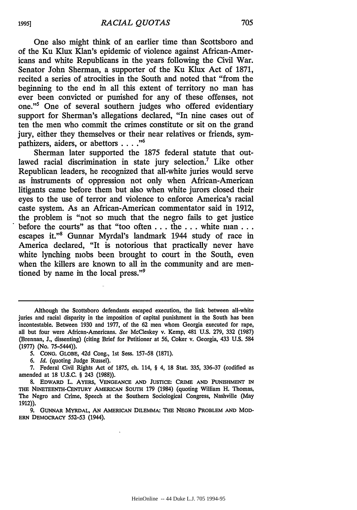One also might think of an earlier time than Scottsboro and of the Ku Klux Klan's epidemic of violence against African-Americans and white Republicans in the years following the Civil War. Senator John Sherman, a supporter of the Ku Klux Act of 1871, recited a series of atrocities in the South and noted that "from the beginning to the end in all this extent of territory no man has ever been convicted or punished for any of these offenses, not one."' One of several southern judges who offered evidentiary support for Sherman's allegations declared, "In nine cases out of ten the men who commit the crimes constitute or sit on the grand jury, either they themselves or their near relatives or friends, sympathizers, aiders, or abettors .... **."**

Sherman later supported the 1875 federal statute that outlawed racial discrimination in state jury selection.7 Like other Republican leaders, he recognized that all-white juries would serve as instruments of oppression not only when African-American litigants came before them but also when white jurors closed their eyes to the use of terror and violence to enforce America's racial caste system. As an African-American commentator said in 1912, the problem is "not so much that the negro fails to get justice before the courts" as that "too often **...** the **...** white **man...** escapes it."8 Gunnar Myrdal's landmark 1944 study of race in America declared, "It is notorious that practically never have white lynching mobs been brought to court in the South, even when the killers are known to all in the community and are mentioned by name in the local press."9

*6. Id.* (quoting Judge Russel).

7. Federal Civil Rights Act of 1875, ch. 114, § 4, 18 Stat. 335, 336-37 (codified as amended at 18 U.S.C. § 243 (1988)).

9. GUNNAR MYRDAL, **AN** AMERICAN DILEMMA: THE **NEGRO** PROBLEM **AND** MOD-ERN DEMOCRACY 552-53 (1944).

**1995]**

Although the Scottsboro defendants escaped execution, the link between all-white juries and racial disparity in the imposition of capital punishment in the South has been incontestable. Between **1930** and **1977,** of the 62 men whom Georgia executed for rape, all but four were African-Americans. *See* McCleskey v. Kemp, 481 U.S. 279, 332 (1987) (Brennan, J., dissenting) (citing Brief for Petitioner at 56, Coker v. Georgia, 433 U.S. 584 (1977) (No. 75-5444)).

*<sup>5.</sup>* CONG. GLOBE, 42d Cong., 1st Sess. 157-58 (1871).

**<sup>8.</sup> EDWARD** L. AYERS, **VENGEANCE AND JUSTICE:** CRIME **AND PUNISHMENT IN** THE NINETEENTH-CENTURY AMERICAN SOUTH **179** (1984) (quoting William H. Thomas, The Negro and Crime, Speech at the Southern Sociological Congress, Nashville (May 1912)).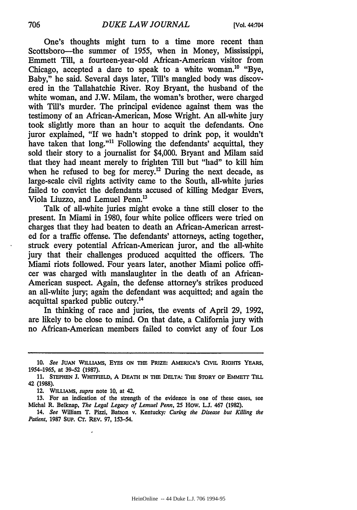One's thoughts might turn to a time more recent than Scottsboro---the summer of 1955, when in Money, Mississippi, Emmett Till, a fourteen-year-old African-American visitor from Chicago, accepted a dare to speak to a white woman.<sup>10</sup> "Bye, Baby," he said. Several days later, Till's mangled body was discovered in the Tallahatchie River. Roy Bryant, the husband of the white woman, and J.W. Milam, the woman's brother, were charged with Till's murder. The principal evidence against them was the testimony of an African-American, Mose Wright. An all-white jury took slightly more than an hour to acquit the defendants. One juror explained, "If we hadn't stopped to drink pop, it wouldn't have taken that long."<sup>11</sup> Following the defendants' acquittal, they sold their story to a journalist for \$4,000. Bryant and Milam said that they had meant merely to frighten Till but "had" to kill him when he refused to beg for mercy.<sup>12</sup> During the next decade, as large-scale civil rights activity came to the South, all-white juries failed to convict the defendants accused of killing Medgar Evers, Viola Liuzzo, and Lemuel Penn.<sup>13</sup>

Talk of all-white juries might evoke a time still closer to the present. In Miami in 1980, four white police officers were tried on charges that they had beaten to death an African-American arrested for a traffic offense. The defendants' attorneys, acting together, struck every potential African-American juror, and the all-white jury that their challenges produced acquitted the officers. The Miami riots followed. Four years later, another Miami police officer was charged with manslaughter in the death of an African-American suspect. Again, the defense attorney's strikes produced an all-white jury; again the defendant was acquitted; and again the acquittal sparked public outcry. <sup>4</sup>

In thinking of race and juries, the events of April 29, 1992, are likely to be close to mind. On that date, a California jury with no African-American members failed to convict any of four Los

**<sup>10.</sup>** *See JUAN* **WILLIAMS, EYES ON THE PRIZE: AMERICA'S CIVIL RIGHTS YEARS, 1954-1965,** at **39-52 (1987).**

**<sup>11.</sup> STEPHEN J. WHITFIELD, A DEATH IN THE DELTA: THE STORY OF EMMETr TILL 42 (1988).**

<sup>12.</sup> **WILLIAMS,** *supra* note 10, at 42.

<sup>13.</sup> For an indication of the strength of the evidence in one of these cases, see Michal R. Belknap, *The Legal Legacy of Lemuel Penn,* **25** HoW. L.L 467 (1982).

<sup>14.</sup> *See* William T. Pizzi, Batson v. Kentucky: *Curing the Disease but Killing the Patient,* 1987 **Sup. CT.** REV. 97, 153-54.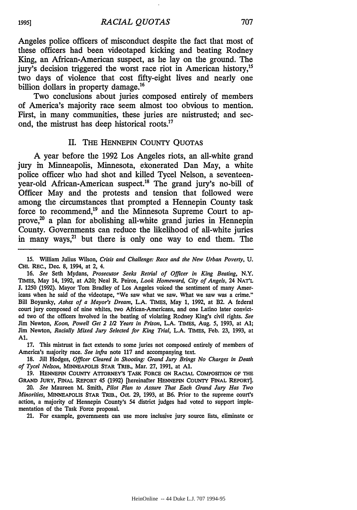Angeles police officers of misconduct despite the fact that most of these officers had been videotaped kicking and beating Rodney King, an African-American suspect, as he lay on the ground. The jury's decision triggered the worst race riot in American history,<sup>15</sup> two days of violence that cost fifty-eight lives and nearly one billion dollars in property damage.<sup>16</sup>

Two conclusions about juries composed entirely of members of America's majority race seem almost too obvious to mention. First, in many communities, these juries are mistrusted; and second, the mistrust has deep historical roots.<sup>17</sup>

#### II. THE HENNEPIN COUNTY QUOTAS

**A** year before the **1992** Los Angeles riots, an all-white grand jury in Minneapolis, Minnesota, ekonerated Dan May, a white police officer who had shot and killed Tycel Nelson, a seventeenyear-old African-American suspect.<sup>18</sup> The grand jury's no-bill of Officer May and the protests and tension that followed were among the circumstances that prompted a Hennepin County task force to recommend,<sup>19</sup> and the Minnesota Supreme Court to approve, $2<sup>o</sup>$  a plan for abolishing all-white grand juries in Hennepin County. Governments can reduce the likelihood of all-white juries in many ways,<sup>21</sup> but there is only one way to end them. The

**17.** This mistrust in fact extends to some juries not composed entirely of members of America's majority race. *See infra* note **117** and accompanying text.

**18.** Jill Hodges, *Officer Cleared in Shooting: Grand Jury Brings No Charges in Death of Tycel Nelson,* MINNEAPOLIS STAR TRIB., Mar. 27, 1991, at **Al.**

**19.** HENNEPIN COUNTY ATTORNEY'S TASK FORCE **ON** RACIAL COMPOSITION OF **THE** GRAND JURY, FINAL REPORT 45 (1992) [hereinafter **HENNEPIN** COUNTY **FINAL** REPORT].

*20. See* Maureen M. Smith, *Pilot Plan to Assure That Each Grand Jury Has Two Minorities,* MINNEAPOLIS STAR TRIB., Oct. 29, 1993, at B6. Prior to the supreme court's action, a majority of Hennepin County's 54 district judges had voted to support implementation of the Task Force proposal.

21. For example, governments can use more inclusive jury source lists, eliminate or

**1995]**

<sup>15.</sup> William Julius Wilson, *Crisis and Challenge: Race and the New Urban Poverty, U.* **CHI.** REC., Dec. 8, 1994, at 2, 4.

<sup>16.</sup> *See* Seth Mydans, *Prosecutor Seeks Retrial of Officer in King Beating,* N.Y. TIMES, May 14, 1992, at **A20;** Neal R. Peirce, *Look Homeward, City of Angels,* 24 **NAT'L** J. 1250 (1992). Mayor Tom Bradley of Los Angeles voiced the sentiment of many Americans when he said of the videotape, "We saw what we saw. What we saw was a crime." Bill Boyarsky, *Ashes of a Mayor's Dream,* L.A. TIMES, May 1, 1992, at B2. A federal court jury composed of nine whites, two African-Americans, and one Latino later convicted two of the officers involved in the beating of violating Rodney King's civil rights. *See* Jim Newton, *Koon, Powell Get 2 1/2 Years in Prison,* L.A. TIMES, Aug. 5, 1993, at **Al;** Jim Newton, *Racially Mixed Jury Selected for King Trial,* L.A. TIMES, Feb. 23, 1993, at Al.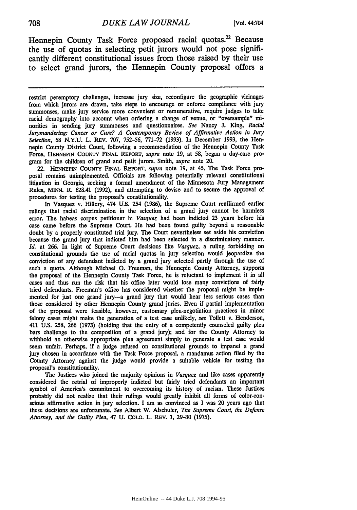Hennepin County Task Force proposed racial quotas.<sup>22</sup> Because the use of quotas in selecting petit jurors would not pose significantly different constitutional issues from those raised **by** their use to select grand jurors, the Hennepin County proposal offers a

restrict peremptory challenges, increase jury size, reconfigure the geographic vicinages from which jurors are drawn, take steps to encourage or enforce compliance with jury summonses, make jury service more convenient or remunerative, require judges to take racial demography into account when ordering a change of venue, or "oversample" minorities in sending jury summonses and questionnaires. *See* Nancy **J.** King, *Racial Jurymandering: Cancer or Cure? A Contemporary Review of Affirmative Action in Jury Selection,* **68 N.Y.U.** L. REV. **707, 752-56, 771-72 (1993).** In December **1993,** the Hennepin County District Court, following a recommendation of the Hennepin County Task Force, **HENNEPIN COUNTY** FINAL REPORT, *supra* note **19,** at **58,** began a day-care program for the children of grand and petit jurors. Smith, *supra* note 20.

22. **HENNEPIN** COUNTY **FINAL** REPORT, *supra* note **19,** at 45. The Task Force proposal remains unimplemented. Officials are following potentially relevant constitutional litigation in Georgia, seeking a formal amendment of the Minnesota Jury Management Rules, **MINN.** R. 628.41 **(1992),** and attempting to devise and to secure the approval of procedures for testing the proposal's constitutionality.

In Vasquez v. Hillery, 474 **U.S.** 254 **(1986),** the Supreme Court reaffirmed earlier rulings that racial discrimination in the selection of a grand jury cannot be harmless error. The habeas corpus petitioner in *Vasquez* had been indicted **23** years before his case came before the Supreme Court. He had been found guilty beyond a reasonable doubt **by** a properly constituted trial jury. The Court nevertheless set aside his conviction because the grand jury that indicted him had been selected in a discriminatory manner. *Id.* at **266.** In light of Supreme Court decisions like *Vasquez,* a ruling forbidding on constitutional grounds the use of racial quotas in jury selection would jeopardize the conviction of any defendant indicted **by** a grand jury selected partly through the use of such a quota. Although Michael **0.** Freeman, the Hennepin County Attorney, supports the proposal of the Hennepin County Task Force, he is reluctant to implement it in all cases and thus run the risk that his office later would lose many convictions of fairly tried defendants. Freeman's office has considered whether the proposal might be implemented for just one grand jury-a grand jury that would hear less serious cases than those considered **by** other Hennepin County grand juries. Even if partial implementation of the proposal were feasible, however, customary plea-negotiation practices in minor felony cases might make the generation of a test case unlikely, *see* Tollett v. Henderson, 411 **U.S. 258, 266 (1973)** (holding that the entry of a competently counseled guilty plea bars challenge to the composition of a grand jury); and for the County Attorney to withhold an otherwise appropriate plea agreement simply to generate a test case would seem unfair. Perhaps, if a judge refused on constitutional grounds to impanel a grand jury chosen in accordance with the Task Force proposal, a mandamus action filed **by** the County Attorney against the judge would provide a suitable vehicle for testing the proposal's constitutionality.

The Justices who joined the majority opinions in *Vasquez* and like cases apparently considered the retrial of improperly indicted but fairly tried defendants an important symbol of America's commitment to overcoming its history of racism. These Justices probably did not realize that their rulings would greatly inhibit all forms of color-conscious affirmative action in jury selection. I am as convinced as I was 20 years ago that these decisions are unfortunate. *See* Albert W. Alschuler, *The Supreme Court, the Defense Attorney, and the Guilty Plea,* 47 **U. COLO.** L. REv. **1, 29-30 (1975).**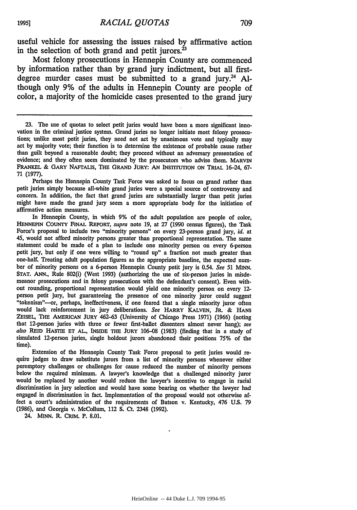useful vehicle for assessing the issues raised **by** affirmative action in the selection of both grand and petit jurors. $^{23}$ 

Most felony prosecutions in Hennepin County are commenced **by** information rather than **by** grand jury indictment, but all firstdegree murder cases must be submitted to a grand jury.<sup>24</sup> Although only **9%** of the adults in Hennepin County are people of color, a majority of the homicide cases presented to the grand jury

Perhaps the Hennepin County Task Force was asked to focus on grand rather than petit juries simply because all-white grand juries were a special source of controversy and concern. In addition, the fact that grand juries are substantially larger than petit juries might have made the grand jury seem a more appropriate body for the initiation of affirmative action measures.

In Hennepin County, in which 9% of the adult population are people of color, **HENNEPIN** COUNTY FINAL **REPORT,** *supra* note 19, at 27 (1990 census figures), the Task Force's proposal to include two "minority persons" on every 23-person grand jury, *id.* at 45, would not afford minority persons greater than proportional representation. The same statement could be made of a plan to include one minority person on every 6-person petit jury, but only if one were willing to "round up" a fraction not much greater than one-half. Treating adult population figures as the appropriate baseline, the expected number of minority persons on a 6-person Hennepin County petit jury is 0.54. *See* 51 MINN. **STAT. ANN.,** Rule 802(i) (West **1993)** (authorizing the use of six-person juries in misdemeanor prosecutions and in felony prosecutions with the defendant's consent). Even without rounding, proportional representation would yield one minority person on every 12 person petit jury, but guaranteeing the presence of one minority juror could suggest "tokenism"-or, perhaps, ineffectiveness, if one feared that a single minority juror often would lack reinforcement in jury deliberations. *See* **HARRY KALVEN, JR.** & **HANS ZEISEL,** THE **AMERICAN JURY** 462-63 (University of Chicago Press 1971) (1966) (noting that 12-person juries with three or fewer first-ballot dissenters almost never hang); *see also* REID HASTIE ET AL., INSIDE THE JURY 106-08 (1983) (finding that in a study of simulated 12-person juries, single holdout jurors abandoned their positions 75% of the time).

Extension of the Hennepin County Task Force proposal to petit juries would re- quire judges to draw substitute jurors from a list of minority persons whenever either peremptory challenges or challenges for cause reduced the number of minority persons below the required minimum. **A** lawyer's knowledge that a challenged minority juror would be replaced by another would reduce the lawyer's incentive to engage in racial discrimination in jury selection and would have some bearing on whether the lawyer had engaged in discrimination in fact. Implementation of the proposal would not otherwise affect a court's administration of the requirements of Batson v. Kentucky, 476 U.S. 79 (1986), and Georgia v. McCollum, 112 S. Ct. 2348 (1992).

24. MINN. R. CRIM. P. **8.01.**

**<sup>23.</sup>** The use of quotas to select petit juries would have been a more significant innovation in the criminal justice system. Grand juries no longer initiate most felony prosecutions; unlike most petit juries, they need not act by unanimous vote and typically may act **by** majority vote; their function is to determine the existence of probable cause rather than guilt beyond a reasonable doubt; they proceed without an adversary presentation of evidence; and they often seem dominated by the prosecutors who advise them. MARVIN FRANKEL & GARY NAFTALIS, THE **GRAND** JURY: **AN INSTITUTION ON** TRIAL 16-24, **67-** 71 (1977).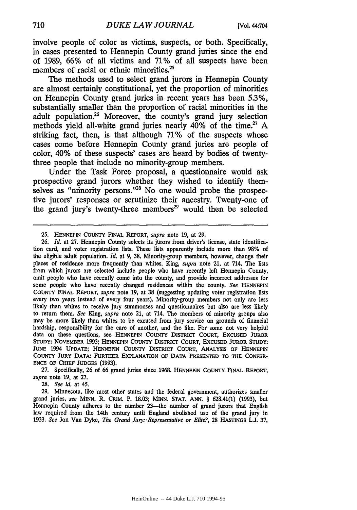involve people of color as victims, suspects, or both. Specifically, in cases presented to Hennepin County grand juries since the end of **1989, 66%** of all victims and **71%** of all suspects have been members of racial or ethnic minorities.<sup>25</sup>

The methods used to select grand jurors in Hennepin County are almost certainly constitutional, yet the proportion of minorities on Hennepin County grand juries in recent years has been **5.3%,** substantially smaller than the proportion of racial minorities in the adult population.26 Moreover, the county's grand jury selection methods yield all-white grand juries nearly 40% of the time.27 **A** striking fact, then, is that although **71%** of the suspects whose cases come before Hennepin County grand juries are people of color, 40% of these suspects' cases are heard **by** bodies of twentythree people that include no minority-group members.

Under the Task Force proposal, a questionnaire would ask prospective grand jurors whether they wished to identify themselves as "ninority persons."<sup>28</sup> No one would probe the prospective jurors' responses or scrutinize their ancestry. Twenty-one of the grand jury's twenty-three members<sup>29</sup> would then be selected

**27.** Specifically, **26** of **66** grand juries since **1968. HENNEPIN** COUNTY FINAL REPORT, *supra* note **19,** at **27.**

**28.** *See id.* at 45.

**29.** Minnesota, like most other states and the federal government, authorizes smaller grand juries, *see* **MINN.** R. CRiM. P. **18.03; MINN. STAT. ANN.** § **628.41(1) (1993),** but Hennepin County adheres to the number 23-the number of grand jurors that English law required from the 14th century until England abolished use of the grand jury in **1933.** *See* Jon Van Dyke, *The Grand Jury:.Representative or Elite?,* 28 HASTINGS **L.J. 37,**

**<sup>25.</sup> HENNEPIN** COUNTY FINAL REPORT, *supra* note 19, at **29.**

<sup>26.</sup> *Id.* at 27. Hennepin County selects its jurors from driver's license, state identification card, and voter registration lists. These lists apparently include more than **98%** of the eligible adult population. *Id.* at 9, **38.** Minority-group members, however, change their places of residence more frequently than whites. King, *supra* note 21, at 714. The lists from which jurors are selected include people who have recently left Hennepin County, omit people who have recently come into the county, and provide incorrect addresses for some people who have recently changed residences within the county. *See* **HENNEPIN** COUNTY **FINAL** REPORT, *supra* note 19, at 38 (suggesting updating voter registration lists every two years instead of every four years). Minority-group members not only are less likely than whites to receive jury summonses and questionnaires but also are less likely to return them. *See* King, *supra* note 21, at 714. The members of minority groups also may be more likely than whites to be excused from jury service on grounds of financial hardship, responsibility for the care of another, and the like. For some not very helpful data on these questions, see **HENNEPIN** COUNTY DISTRICT COURT, EXCUSED JUROR **STUDY:** NOVEMBER **1993; HENNEPIN** COUNTY **DISTRICT COURT, EXCUSED** JUROR STUDY: JUNE 1994 **UPDATE; HENNEPIN** COUNTY DISTRICT COURT, **ANALYSIS** OF **HENNEPIN** COUNTY JURY **DATA:** FURTHER EXPLANATION OF **DATA PRESENTED** TO THE **CONFER-ENCE** OF **CHIEF JUDGES (1993).**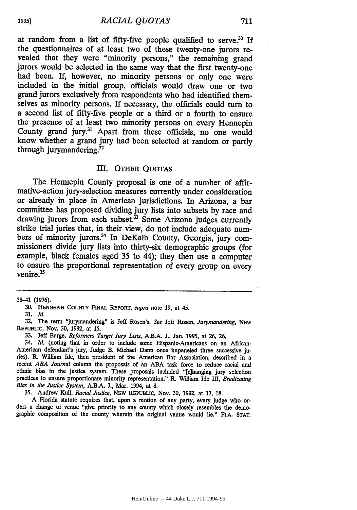at random from a list of fifty-five people qualified to serve.30 **If** the questionnaires of at least two of these twenty-one jurors revealed that they were "minority persons," the remaining grand jurors would be selected in the same way that the first twenty-one had been. If, however, no minority persons or only one were included in the initial group, officials would draw one or two grand jurors exclusively from respondents who had identified themselves as minority persons. If necessary, the officials could turn to a second list of fifty-five people or a third or a fourth to ensure the presence of at least two minority persons on every Hennepin County grand jury.<sup>31</sup> Apart from these officials, no one would know whether a grand jury had been selected at random or partly through jurymandering. $32$ 

#### III. OTHER QUOTAS

The Hennepin County proposal is one of a number of affirmative-action jury-selection measures currently under consideration or already in place in American jurisdictions. In Arizona, a bar committee has proposed dividing jury lists into subsets by race and drawing jurors from each subset. $33$  Some Arizona judges currently strike trial juries that, in their view, do not include adequate numbers of minority jurors.<sup>34</sup> In DeKalb County, Georgia, jury commissioners divide jury lists into thirty-six demographic groups (for example, black females aged 35 to 44); they then use a computer to ensure the proportional representation of every group on every venire.<sup>35</sup>

38-41 (1976).

34. *Id.* (noting that in order to include some Hispanic-Americans on an African-American defendant's jury, Judge B. Michael Dann once impaneled three successive juries). R. William Ide, then president of the American Bar Association, described in a recent *ABA Journal* column the proposals of an ABA task force to reduce racial and ethnic bias in the justice system. These proposals included "[c]hanging jury selection practices to ensure proportionate minority representation." R. William Ide III, *Eradicating Bias in the Justice System,* A.B.A. **J.,** Mar. 1994, at **8.**

35. Andrew Kull, *Racial Justice,* NEW REPUBLIC, Nov. **30,** 1992, at 17, 18.

**<sup>A</sup>**Florida statute requires that, upon a motion of any party, every judge who or- ders a change of venue "give priority to any county which closely resembles the demographic composition of the county wherein the original venue would lie." **FLA. STAT.**

HeinOnline -- 44 Duke L.J. 711 1994-95

711

**<sup>30.</sup> HENNEPIN** COUNTY **FINAL REPORT,** *supra* note **19,** at 45.

**<sup>31.</sup>** *Id.*

<sup>32.</sup> The term "jurymandering" is Jeff Rosen's. *See* Jeff Rosen, *Jurymandering,* **NEW REPUBLIC,** Nov. **30,** 1992, at 15.

**<sup>33.</sup>** Jeff Barge, *Reformers Target Jury Lists,* **A.B.A.** J., Jan. 1995, at **26,** 26.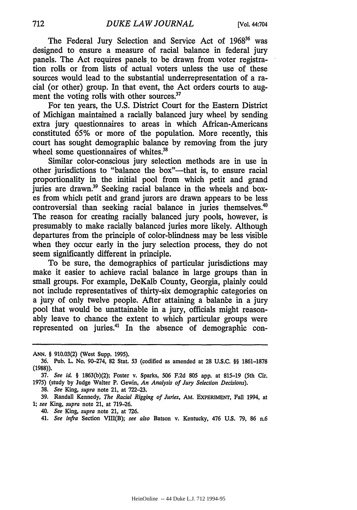The Federal Jury Selection and Service Act of 1968<sup>36</sup> was designed to ensure a measure of racial balance in federal jury panels. The Act requires panels to be drawn from voter registration rolls or from lists of actual voters unless the use of these sources would lead to the substantial underrepresentation of a racial (or other) group. In that event, the Act orders courts to augment the voting rolls with other sources.<sup>37</sup>

For ten years, the U.S. District Court for the Eastern District of Michigan maintained a racially balanced jury wheel by sending extra jury questionnaires to areas in which African-Americans constituted 65% or more of the population. More recently, this court has sought demographic balance by removing from the jury wheel some questionnaires of whites.<sup>31</sup>

Similar color-conscious jury selection methods are in use in other jurisdictions to "balance the box"—that is, to ensure racial proportionality in the initial pool from which petit and grand juries are drawn.39 Seeking racial balance in the wheels and boxes from which petit and grand jurors are drawn appears to be less controversial than seeking racial balance in juries themselves.<sup>4</sup> The reason for creating racially balanced jury pools, however, is presumably to make racially balanced juries more likely. Although departures from the principle of color-blindness may be less visible when they occur early in the jury selection process, they do not seem significantly different in principle.

To be sure, the demographics of particular jurisdictions may make it easier to achieve racial balance in large groups than in small groups. For example, DeKalb County, Georgia, plainly could not include representatives of thirty-six demographic categories on a jury of only twelve people. After attaining a balance in a jury pool that would be unattainable in a jury, officials might reasonably leave to chance the extent to which particular groups were represented on juries.4' In the absence of demographic con-

38. *See* King, *supra* note 21, at 722-23.

39. Randall Kennedy, *The Racial Rigging of Juries,* AM. EXPERIMENT, Fall 1994, at 1; *see* King, *supra* note 21, at 719-26.

*40. See* King, *supra* note 21, at 726.

41. *See infra* Section VIII(B); *see also* Batson v. Kentucky, 476 **U.S.** 79, 86 n.6

*ANN.* § **910.03(2)** (West Supp. **1995).**

<sup>36.</sup> Pub. L. No. 90-274, 82 Stat. 53 (codified as amended at 28 U.S.C. §§ 1861-1878 (1988)).

<sup>37.</sup> See id. § 1863(b)(2); Foster v. Sparks, 506 F.2d 805 app. at 815-19 (5th Cir. 1975) (study by Judge Walter P. Gewin, An Analysis of Jury Selection Decisions).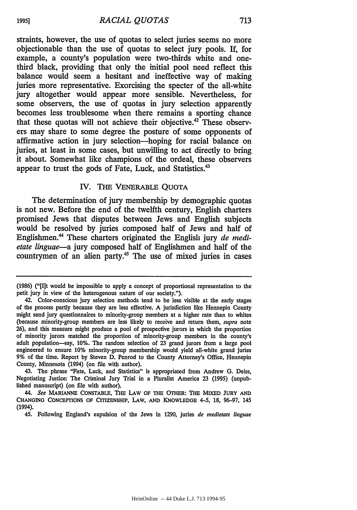straints, however, the use of quotas to select juries seems no more objectionable than the use of quotas to select jury pools. If, for example, a county's population were two-thirds white and onethird black, providing that only the initial pool need reflect this balance would seem a hesitant and ineffective way of making juries more representative. Exorcising the specter of the all-white jury altogether would appear more sensible. Nevertheless, for some observers, the use of quotas in jury selection apparently becomes less troublesome when there remains a sporting chance that these quotas will not achieve their objective.<sup>42</sup> These observers may share to some degree the posture of some opponents of affirmative action in jury selection-hoping for racial balance on juries, at least in some cases, but unwilling to act directly to bring it about. Somewhat like champions of the ordeal, these observers appear to trust the gods of Fate, Luck, and Statistics.<sup>43</sup>

#### IV. THE VENERABLE QUOTA

The determination of jury membership by demographic quotas is not new. Before the end of the twelfth century, English charters promised Jews that disputes between Jews and English subjects would be resolved by juries composed half of Jews and half of Englishmen.<sup>44</sup> These charters originated the English jury *de medietate linguae-a* jury composed half of Englishmen and half of the countrymen of an alien party.<sup>45</sup> The use of mixed juries in cases

43. The phrase "Fate, Luck, and Statistics" is appropriated from Andrew G. Deiss, Negotiating Justice: The Criminal Jury Trial in a Pluralist America 23 (1995) (unpublished manuscript) (on file with author).

*44. See* **MARIANNE CONSTABLE, THE LAW OF** THE **OTHER: THE MIXED JURY AND CHANGING CONCEPTIONS** OF **CITIZENSHIP,** LAW, **AND KNOWLEDGE** 4-5, **18, 96-97,** 145 (1994).

45. Following England's expulsion of the Jews in 1290, juries *de medietate linguae*

19951

**<sup>(1986)</sup>** ("[I]t would be impossible to apply a concept of proportional representation to the petit jury in view of the heterogenous nature of our society.").

<sup>42.</sup> Color-conscious jury selection methods tend to be less visible at the early stages of the process partly because they are less effective. A jurisdiction like Hennepin County might send jury questionnaires to minority-group members at a higher rate than to whites (because minority-group members are less likely to receive and return them, *supra* note 26), and this measure might produce a pool of prospective jurors in which the proportion of minority jurors matched the proportion of minority-group members in the county's adult population-say, 10%. The random selection of 23 grand jurors from a large pool engineered to ensure 10% minority-group membership would yield all-white grand juries 9% of the time. Report by Steven D. Penrod to the County Attorney's Office, Hennepin County, Minnesota (1994) (on file with author).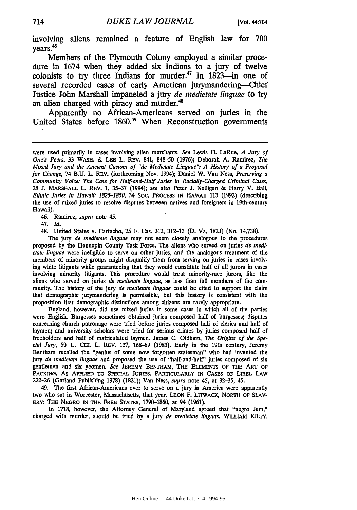involving aliens remained a feature of English law for **700** vears.<sup>46</sup>

Members of the Plymouth Colony employed a similar procedure in 1674 when they added six Indians to a jury of twelve colonists to try three Indians for murder.<sup>47</sup> In  $1823$ -in one of several recorded cases of early American jurymandering-Chief Justice John Marshall impaneled a jury *de medietate linguae* to try an alien charged with piracy and nurder.<sup>48</sup>

Apparently no African-Americans served on juries in the United States before 1860.<sup>49</sup> When Reconstruction governments

46. Ramirez, *supra* note 45.

47. *Id.*

48. United States v. Cartacho, **25** F. Cas. 312, 312-13 (D. Va. **1823)** (No. 14,738).

The jury *de medietate linguae* may not seem closely analogous to the procedures proposed **by** the Hennepin County Task Force. The aliens who served on juries *de medietate linguae* were ineligible to serve on other juries, and the analogous treatment of the members of minority groups might disqualify them from serving on juries in cases involving white litigants while guaranteeing that they would constitute half of all jurors in cases involving minority litigants. This procedure would treat minority-race jurors, like the aliens who served on juries *de medietate linguae,* as less than full members of the community. The history of the jury *de medietate linguae* could be cited to support the claim that demographic jurymandering is permissible, but this history is consistent with the proposition that demographic distinctions among citizens are rarely appropriate.

England, however, did use mixed juries in some cases in which all of the parties were English. Burgesses sometimes obtained juries composed half of burgesses; disputes concerning church patronage were tried before juries composed half of clerics and half of laymen; and university scholars were tried for serious crimes **by** juries composed half of freeholders and half of matriculated laymen. James **C.** Oldham, *The Origins of the Special Jury, 50* U. **CHI.** L. REV. 137, **168-69** (1983). Early in the 19th century, Jeremy Bentham recalled the "genius of some now forgotten statesman" who had invented the jury *de medietate linguae* and proposed the use of "half-and-half" juries composed of six gentlemen and six yeomen. *See* JEREMY BENTHAM, THE **ELEMENTS** OF THE ART OF **PACKING,** As APPLIED TO **SPECIAL JURIES,** PARTICULARLY **IN CASES** OF LIBEL LAW **222-26** (Garland Publishing **1978) (1821);** Van Ness, *supra* note 45, at **32-35,** 45.

49. The first African-Americans ever to serve on a jury in America were apparently two who sat in Worcester, Massachusetts, that year. **LEON** F. LrrwACK, NORTH OF **SLAV-**ERY: THE **NEGRO** IN THE FREE STATES, **1790-1860,** at 94 **(1961).**

In **1718,** however, the Attorney General of Maryland agreed that "negro Jem," charged with murder, should be tried **by** a jury *de medietate linguae.* WILLIAM KILTY,

were used primarily in cases involving alien merchants. See Lewis H. LaRue, A Jury of One's *Peers,* **33 WASH. & LEE** L. REV. 841, 848-50 **(1976);** Deborah **A.** Ramirez, *The Mixed Jury and the Ancient Custom of "de Medietate Linguae". A History of a Proposal for Change,* 74 **B.U.** L. REV. (forthcoming Nov. 1994); Daniel **W.** Van Ness, *Preserving a* Community Voice: The Case for *Half-and-Half Juries in Racially-Charged Criminal Cases,* **28 J.** MARSHALL L. REv. **1, 35-37** (1994); *see also* Peter **J.** Nelligan & Harry V. Ball, *Ethnic Juries in Hawaii: 1825-1850,* 34 **Soc.** PROCESS **IN HAWAII 113 (1992)** (describing the use of mixed juries to resolve disputes between natives and foreigners in 19th-century Hawaii).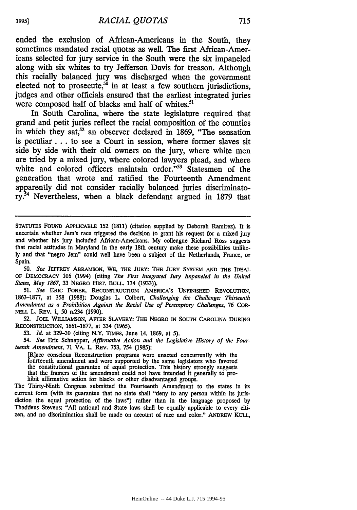ended the exclusion of African-Americans in the South, they sometimes mandated racial quotas as well. The first African-Americans selected for jury service in the South were the six impaneled along with six whites to try Jefferson Davis for treason. Although this racially balanced jury was discharged when the government elected not to prosecute, $50$  in at least a few southern jurisdictions, judges and other officials ensured that the earliest integrated juries were composed half of blacks and half of whites.<sup>5</sup>

In South Carolina, where the state legislature required that grand and petit juries reflect the racial composition of the counties in which they sat,<sup>52</sup> an observer declared in 1869, "The sensation is peculiar **...** to see a Court in session, where former slaves sit side **by** side with their old owners on the jury, where white men are tried by a mixed jury, where colored lawyers plead, and where white and colored officers maintain order."<sup>53</sup> Statesmen of the generation that wrote and ratified the Fourteenth Amendment apparently did not consider racially balanced juries discriminatory. 4 Nevertheless, when a black defendant argued in **1879** that

STATUTES FOUND **APPLICABLE** 152 (1811) (citation supplied **by** Deborah Ramirez). It is uncertain whether Jem's race triggered the decision to grant his request for a mixed jury and whether his jury included African-Americans. My colleague Richard Ross suggests that racial attitudes in Maryland in the early 18th century make these possibilities unlike**ly** and that "negro Jem" could well have been a subject of the Netherlands, France, or Spain.

*50. See* **JEFFREY** ABRAMSON, **WE,** THE JURY: THE **JURY** SYSTEM **AND THE IDEAL OF** DEMOCRACY **106** (1994) (citing *The First Integrated Jury Impaneled in the United States, May 1867,* 33 NEGRO HIST. **BULL.** 134 (1933)).

*51. See* ERIC FONER, RECONSTRUCTION: **AMERICA'S UNFINISHED** REVOLUTION, 1863-1877, at 358 (1988); Douglas L. Colbert, *Challenging the Challenge: Thirteenth Amendment as a Prohibition Against the Racial Use of Peremptory Challenges,* 76 COR-**NELL** L. REv. **1,** 50 n.234 **(1990).**

**52. JOEL WILLIAMSON,** AFTER SLAVERY: THE **NEGRO** IN SOUTH CAROLINA **DURING** RECONSTRUCTION, 1861-1877, at 334 **(1965).**

*53. Id.* at **329-30** (citing N.Y. TIMES, June 14, 1869, at **5).**

*54. See* Eric Schnapper, *Affirmative Action and the Legislative History of the Fourteenth Amendment,* 71 VA. L. REV. 753, 754 (1985):

[R]ace conscious Reconstruction programs were enacted concurrently with the fourteenth amendment and were supported by the same legislators who favored the constitutional guarantee of equal protection. This history strongly suggests that the framers of the amendment could not have intended it generally to pro-<br>hibit affirmative action for blacks or other disadvantaged gro

The Thirty-Ninth Congress submitted the Fourteenth Amendment to the states in its current form (with its guarantee that no state shall "deny to any person within its jurisdiction the equal protection of the laws") rather than in the language proposed by Thaddeus Stevens: "All national and State laws shall be equally applicable to every citizen, and no discrimination shall be made on account of race and color." ANDREW KULL,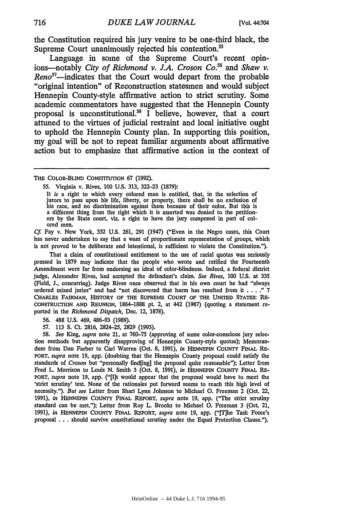the Constitution required his jury venire to be one-third black, the Supreme Court unanimously rejected his contention.<sup>55</sup>

Language in some of the Supreme Court's recent opinions-notably *City of Richmond v. J.A. Croson Co.<sup>5</sup> <sup>6</sup>*and *Shaw v.* Reno<sup>57</sup>—indicates that the Court would depart from the probable "original intention" of Reconstruction statesmen and would subject Hennepin County-style affirmative action to strict scrutiny. Some academic commentators have suggested that the Hennepin County proposal is unconstitutional.58 I believe, however, that a court attuned to the virtues of judicial restraint and local initiative ought to uphold the Hennepin County plan. In supporting this position, my goal will be not to repeat familiar arguments about affirmative action but to emphasize that affirmative action in the context of

THE COLOR-BLIND CONSTITUTION 67 (1992).

55. Virginia v. Rives, **100** U.S. 313, 322-23 (1879):

It *is* a right to which every colored man is entitled, that, in the selection of jurors to pass upon his life, liberty, or property, there shall be no exclusion of his race, and no discrimination against them because of their color. But this is a different thing from the right which it is asserted was denied to the petitioners by the State court, viz. a right to have the jury composed in part of colored men.

*Cf.* Fay v. New York, 332 U.S. 261, **291** (1947) ("Even in the Negro cases, this Court has never undertaken to say that a want of proportionate representation of groups, which is not proved to be deliberate and intentional, is sufficient to violate the Constitution.").

That a claim of constitutional entitlement to the use of racial quotas was seriously pressed in 1879 may indicate that the people who wrote and ratified the Fourteenth Amendment were far from endorsing an ideal of color-blindness. Indeed, a federal district judge, Alexander Rives, had accepted the defendant's claim. *See Rives,* 100 U.S. at 335 (Field, **J.,** concurring). Judge Rives once observed that in his own court he had "always ordered mixed juries" and had "not discovered that harm has resulted from it . **.** . **."** 7 CHARLES FAIRMAN, HISTORY OF **THE SUPREME COURT** OF **THE** UNITED STATES: **RE-CONSTRUCTION AND** REUNION, 1864-1888 pt. 2, at 442 (1987) (quoting a statement reported in the *Richmond Dispatch,* Dec. 12, 1878).

56. 488 U.S. 469, 486-93 (1989).

57. **113 S.** Ct. 2816, 2824-25, 2829 (1993).

*58. See* King, *supra* note 21, at 760-75 (approving of some color-conscious jury selection methods but apparently disapproving of Hennepin County-style quotas); Memorandum from Dan Farber to Carl Warren (Oct. 8, 1991), *in* **HENNEPIN** COUNTY **FINAL** RE-PORT, *supra* note **19,** app. (doubting that the Hennepin County proposal could satisfy the standards of *Croson* but "personally find[ing] the proposal quite reasonable"); Letter from Fred L. Morrison to Louis **N.** Smith 3 (Oct. 8, 1991), *in* **HENNEPIN COUNTY FINAL** RE-PORT, *supra* note **19,** app. ("[I]t would appear that the proposal would have to meet the 'strict scrutiny' test. None of the rationales put forward seems to reach this high level of necessity."). *But see* Letter from Shari Lynn Johnson to Michael **0.** Freeman 2 (Oct. 22, 1991), *in* HENNEPIN **COUNTY FINAL** REPORT, *supra* note **19,** app. ("The strict scrutiny standard can be met."); Letter from Roy L. Brooks to Michael **0.** Freeman 3 (Oct. 21, 1991), *in* **HENNEPIN COUNTY FINAL** REPORT, *supra* note 19, app. ("[T]he Task Force's proposal . . . should survive constitutional scrutiny under the Equal Protection Clause.").

716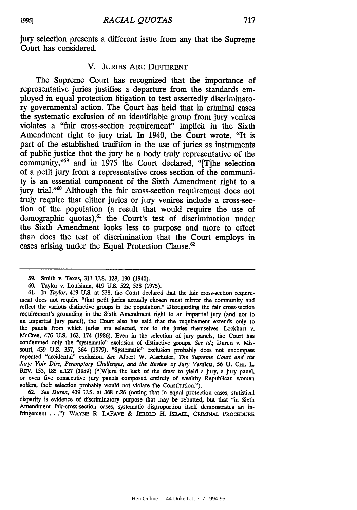jury selection presents a different issue from any that the Supreme Court has considered.

#### V. JURIES ARE DIFFERENT

The Supreme Court has recognized that the importance of representative juries justifies a departure from the standards employed in equal protection litigation to test assertedly discriminatory governmental action. The Court has held that in criminal cases the systematic exclusion of an identifiable group from jury venires violates a "fair cross-section requirement" implicit in the Sixth Amendment right to jury trial. In 1940, the Court wrote, "It is part of the established tradition in the use of juries as instruments of public justice that the jury be a body truly representative of the community,"<sup>59</sup> and in 1975 the Court declared, "[T]he selection of a petit jury from a representative cross section of the community is an essential component of the Sixth Amendment right to a jury trial."<sup>60</sup> Although the fair cross-section requirement does not truly require that either juries or jury venires include a cross-section of the population (a result that would require the use of demographic quotas),<sup>61</sup> the Court's test of discrimination under the Sixth Amendment looks less to purpose and more to effect than does the test of discrimination that the Court employs in cases arising under the Equal Protection Clause. $62$ 

**62.** *See Duren,* 439 U.S. at **368** n.26 (noting that in equal protection cases, statistical disparity is evidence of discriminatory purpose that may be rebutted, but that "in Sixth Amendment fair-cross-section cases, systematic disproportion itself demonstrates an infringement.. ."); **WAYNE** R. LAFAVE & **JEROLD** H. ISRAEL, **CRIMINAL** PROCEDURE

<sup>59.</sup> Smith v. Texas, **311 U.S.** 128, **130** (1940).

<sup>60.</sup> Taylor v. Louisiana, 419 U.S. 522, 528 (1975).

<sup>61.</sup> In *Taylor,* 419 U.S. at 538, the Court declared that the fair cross-section requirement does not require "that petit juries actually chosen must mirror the community and reflect the various distinctive groups in the population." Disregarding the fair cross-section requirement's grounding in the Sixth Amendment right to an impartial jury (and not to an impartial jury panel), the Court also has said that the requirement extends only to the panels from which juries are selected, not to the juries themselves. Lockhart v. McCree, 476 **U.S.** 162, 174 (1986). Even in the selection of jury panels, the Court has condemned only the "systematic" exclusion of distinctive groups. *See id.;* Duren v. Missouri, 439 U.S. 357, 364 (1979). "Systematic" exclusion probably does not encompass repeated "accidental" exclusion. *See* Albert W. Alschuler, *The Supreme Court and the Jury: Voir Dire, Peremptory* Challenges, and the *Review of Jury Verdicts,* 56 **U.** CHI. L. **REV.** 153, 185 n.127 (1989) ("[W]ere the luck of the draw to yield a jury, a jury panel, or even five consecutive jury panels composed entirely of wealthy Republican women golfers, their selection probably would not violate the Constitution.").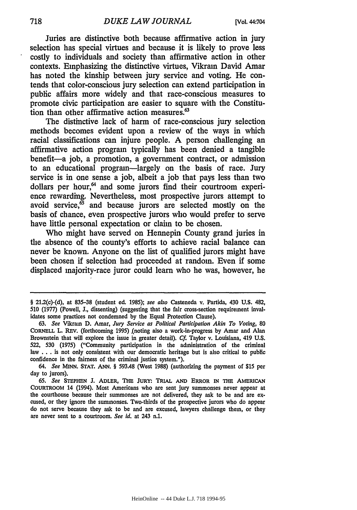Juries are distinctive both because affirmative action in jury selection has special virtues and because it is likely to prove less costly to individuals and society than affirmative action in other contexts. Emphasizing the distinctive virtues, Vikram David Amar has noted the kinship between jury service and voting. He contends that color-conscious jury selection can extend participation in public affairs more widely and that race-conscious measures to promote civic participation are easier to square with the Constitution than other affirmative action measures.<sup>63</sup>

The distinctive lack of harm of race-conscious jury selection methods becomes evident upon a review of the ways in which racial classifications can injure people. A person challenging an affirmative action program typically has been denied a tangible benefit-a job, a promotion, a government contract, or admission to an educational program-largely on the basis of race. Jury service is in one sense a job, albeit a job that pays less than two dollars per hour, $<sup>64</sup>$  and some jurors find their courtroom experi-</sup> ence rewarding. Nevertheless, most prospective jurors attempt to avoid service, $\delta$  and because jurors are selected mostly on the basis of chance, even prospective jurors who would prefer to serve have little personal expectation or claim to be chosen.

Who might have served on Hennepin County grand juries in the absence of the county's efforts to achieve racial balance can never be known. Anyone on the list of qualified jurors might have been chosen if selection had proceeded at random. Even if some displaced majority-race juror could learn who he was, however, he

*64. See* MINN. STAT. ANN. § 593.48 (West 1988) (authorizing the payment of \$15 per day to jurors).

<sup>§ 21.2(</sup>c)-(d), at **835-38** (student ed. **1985);** *see also* Casteneda v. Partida, 430 **U.S.** 482, 510 (1977) (Powell, **J.,** dissenting) (suggesting that the fair cross-section requirement invalidates some practices not condemned **by** the Equal Protection Clause).

<sup>63.</sup> *See* Vikram D. Amar, *Jury Service as Political Participation Akin To Voting,* 80 CORNELL L. REV. (forthcoming 1995) .(noting also a work-in-progress by Amar and Alan Brownstein that will explore the issue in greater detail). *Cf.* Taylor v. Louisiana, 419 U.S. 522, 530 (1975) ("Community participation in the administration of the criminal law **. . .** is not only consistent with our democratic heritage but is also critical to public confidence in the fairness of the criminal justice system.").

**<sup>65.</sup>** *See* **STEPHEN J.** ADLER, THE JURY: TRIAL **AND** ERROR **IN** THE AMERICAN COURTROOM 14 (1994). Most Americans who are sent jury summonses never appear at the courthouse because their summonses are not delivered, they ask to be and are **ex-** cused, or they ignore the summonses. Two-thirds of the prospective jurors who do appear do not serve because they ask to be and are excused, lawyers challenge them, or they are never sent to a courtroom. *See id.* at 243 n.1.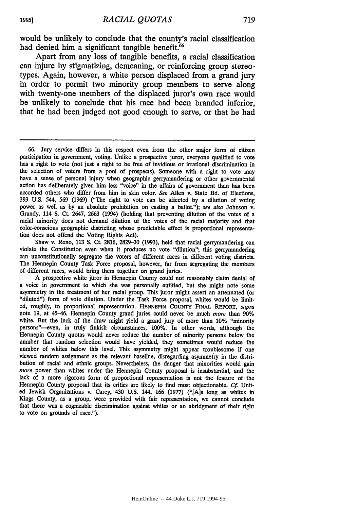would be unlikely to conclude that the county's racial classification had denied him a significant tangible benefit.<sup>66</sup>

Apart from any loss of tangible benefits, a racial classification can injure by stigmatizing, demeaning, or reinforcing group stereotypes. Again, however, a white person displaced from a grand jury in order to permit two minority group members to serve along with twenty-one members of the displaced juror's own race would be unlikely to conclude that his race had been branded inferior, that he had been judged not good enough to serve, or that he had

Shaw v. Reno, 113 **S.** Ct. 2816, 2829-30 (1993), held that racial gerrymandering can violate the Constitution even when it produces no vote "dilution"; this gerrymandering can unconstitutionally segregate the voters of different races in different voting districts. The Hennepin County Task Force proposal, however, far from segregating the members of different races, would bring them together on grand juries.

A prospective white juror in Hennepin County could not reasonably claim denial of a voice in government to which she was personally entitled, but she might note some asymmetry in the treatment of her racial group. This juror might assert an attenuated (or "diluted") form of vote dilution. Under the Task Force proposal, whites would be limited, roughly, to proportional representation. **HENNEPIN CoUNTY FINAL REPORT,** *supra* note **19,** at 45-46. Hennepin County grand juries could never be much *more* than 90% white. But the luck of the draw might yield a grand jury of more than 10% "minority persons"-even, in truly flukish circumstances, 100%. In other words, although the Hennepin County quotas would never reduce the number of minority persons below the number that random selection would have yielded, they sometimes would reduce the number of whites below this level. This asymmetry might appear troublesome if one viewed random assignment as the relevant baseline, disregarding asymmetry in the distribution of racial and ethnic groups. Nevertheless, the danger that minorities would gain *more* power than whites under the Hennepin County proposal is insubstantial, and the lack of a more rigorous form of proportional representation is not the feature of the Hennepin County proposal that its critics are likely to find most objectionable. *Cf.* United Jewish Organizations v. Carey, 430 U.S. 144, **166** (1977) ("[A]s long as whites in Kings County, as a group, were provided with fair representation, we cannot conclude that there was a cognizable discrimination against whites or an abridgment of their right to vote on grounds of race.").

**<sup>66.</sup>** Jury service differs in this respect even from the other major form of citizen participation in government, voting. Unlike a prospective juror, everyone qualified to vote has a right to vote (not just a right to be free of invidious or irrational discrimination in the selection of voters from a pool of prospects). Someone with a right to vote may have a sense of personal injury when geographic gerrymandering or other governmental action has deliberately given him less "voice" in the affairs of government than has been accorded others who differ from him in skin color. *See* Allen v. State Bd. of Elections, 393 U.S. 544, 569 (1969) ("The right to vote can be affected by a dilution of voting power as well as by an absolute prohibition on casting a ballot."); see also Johnson v. Grandy, 114 **S.** Ct. 2647, 2663 (1994) (holding that preventing dilution of the votes of a racial minority does not demand dilution of the votes of the racial majority and that color-conscious geographic districting whose predictable effect is proportional representation does not offend the Voting Rights Act).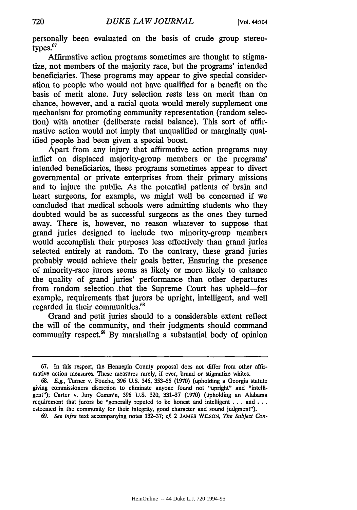personally been evaluated on the basis of crude group stereotypes.<sup>67</sup>

Affirmative action programs sometimes are thought to stigmatize, not members of the majority race, but the programs' intended beneficiaries. These programs may appear to give special consideration to people who would not have qualified for a benefit on the basis of merit alone. Jury selection rests less on merit than on chance, however, and a racial quota would merely supplement one mechanism for promoting community representation (random selection) with another (deliberate racial balance). This sort of affirmative action would not imply that unqualified or marginally qualified people had been given a special boost.

Apart from any injury that affirmative action programs may inflict on displaced majority-group members or the programs' intended beneficiaries, these programs sometimes appear to divert governmental or private enterprises from their primary missions and to injure the public. As the potential patients of brain and heart surgeons, for example, we might well be concerned if we concluded that medical schools were admitting students who they doubted would be as successful surgeons as the ones they turned away. There is, however, no reason whatever to suppose that grand juries designed to include two minority-group members would accomplish their purposes less effectively than grand juries selected entirely at random. To the contrary, these grand juries probably would achieve their goals better. Ensuring the presence of minority-race jurors seems as likely or more likely to enhance the quality of grand juries' performance than other departures from random selection that the Supreme Court has upheld-for example, requirements that jurors be upright, intelligent, and well regarded in their communities.<sup>68</sup>

Grand and petit juries should to a considerable extent reflect the will of the community, and their judgments should command community respect.69 By marshaling a substantial body of opinion

<sup>67.</sup> In this respect, the Hennepin County proposal does not differ from other affirmative action measures. These measures rarely, if ever, brand or stigmatize whites.

<sup>68.</sup> E.g., Turner v. Fouche, 396 U.S. 346, 353-55 (1970) (upholding a Georgia statute giving commissioners discretion to eliminate anyone found not "upright" and "intelligent"); Carter v. Jury Comm'n, 396 U.S. 320, 331-37 (1970) (upholding an Alabama requirement that jurors be "generally reputed to be honest and intelligent . . **.** and **...** esteemed in the community for their integrity, good character and sound judgment").

**<sup>69.</sup>** *See infra* text accompanying notes **132-37;** *cf.* 2 **JAMES WILSON,** *The Subject Con-*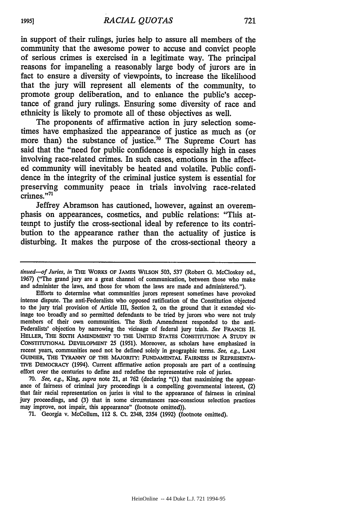in support of their rulings, juries help to assure all members of the community that the awesome power to accuse and convict people of serious crimes is exercised in a legitimate way. The principal reasons for impaneling a reasonably large body of jurors are in fact to ensure a diversity of viewpoints, to increase the likelihood that the jury will represent all elements of the community, to promote group deliberation, and to enhance the public's acceptance of grand jury rulings. Ensuring some diversity of race and ethnicity is likely to promote all of these objectives as **well.**

The proponents of affirmative action in jury selection sometimes have emphasized the appearance of justice as much as (or more than) the substance of justice.<sup>70</sup> The Supreme Court has said that the "need for public confidence is especially high in cases involving race-related crimes. In such cases, emotions in the affected community will inevitably be heated and volatile. Public confidence in the integrity of the criminal justice system is essential for preserving community peace in trials involving race-related crimes."71

Jeffrey Abramson has cautioned, however, against an overemphasis on appearances, cosmetics, and public relations: "This attempt to justify the cross-sectional ideal **by** reference to its contribution to the appearance rather than the actuality of justice is disturbing. It makes the purpose of the cross-sectional theory a

Efforts to determine what communities jurors represent sometimes have provoked intense dispute. The anti-Federalists who opposed ratification of the Constitution objected to the jury trial provision of Article III, Section 2, on the ground that it extended vicinage too broadly and so permitted defendants to be tried **by** jurors who were not truly members of their own communities. The Sixth Amendment responded to the anti-Federalists' objection **by** narrowing the vicinage of federal jury trials. *See* **FRANCIS** H. **HELLER, THE SIXTH AMENDMENT TO THE UNITED STATES** CONSTITUTION: **A** STUDY **IN CONSTITUTIONAL DEVELOPMENT 25 (1951).** Moreover, as scholars have emphasized in recent years, communities need not be defined solely in geographic terms. *See, e.g.,* **LANr GUINIER, THE TYRANNY OF THE MAJORITY: FUNDAMENTAL FAIRNESS IN REPRESENTA-TIVE DEMOCRACY** (1994). Current affirmative action proposals are part of a continuing effort over the centuries to define and redefine the representative role of juries.

**70.** *See, e.g.,* King, *supra* note 21, at **762** (declaring **"(1)** that maximizing the appear- ance of fairness of criminal jury proceedings is a compelling governmental interest, (2) that fair racial representation on juries is vital to the appearance of fairness in criminal jury proceedings, and **(3)** that in some circumstances race-conscious selection practices may improve, not impair, this appearance" (footnote omitted)).

**71.** Georgia v. McCollum, 112 **S.** Ct. 2348, 2354 **(1992)** (footnote omitted).

**1995]**

*tinued-of Juries, in* **THE WORKS OF JAMES WILSON 503, 537** (Robert **G.** McCloskey ed., **1967)** ("The grand jury are a great channel of communication, between those who make and administer the laws, and those for whom the laws are made and administered.").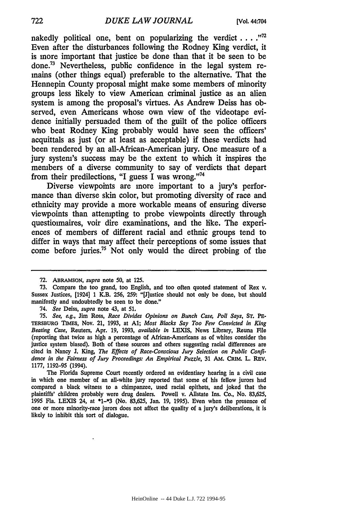nakedly political one, bent on popularizing the verdict **...."'** Even after the disturbances following the Rodney King verdict, it is more important that justice be done than that it be seen to be done.73 Nevertheless, public confidence in the legal system remains (other things equal) preferable to the alternative. That the Hennepin County proposal might make some members of minority groups less likely to view American criminal justice as an alien system is among the proposal's virtues. As Andrew Deiss has observed, even Americans whose own view of the videotape evidence initially persuaded them of the guilt of the police officers who beat Rodney King probably would have seen the officers' acquittals as just (or at least as acceptable) if these verdicts had been rendered **by** an all-African-American jury. One measure of a jury system's success may be the extent to which it inspires the members of a diverse community to say of verdicts that depart from their predilections, "I guess I was wrong."74

Diverse viewpoints are more important to a jury's performance than diverse skin color, but promoting diversity of race and ethnicity may provide a more workable means of ensuring diverse viewpoints than attempting to probe viewpoints directly through questionnaires, voir dire examinations, and the like. The experiences of members of different racial and ethnic groups tend to differ in ways that may affect their perceptions of some issues that come before juries.75 Not only would the direct probing of the

The Florida Supreme Court recently ordered an evidentiary hearing in a civil case in which one member of an all-white jury reported that some of his fellow jurors had compared a black witness to a chimpanzee, used racial epithets, and joked that the plaintiffs' children probably were drug dealers. Powell v. Allstate Ins. Co., No. **83,625, 1995** Fla. **LEXIS** 24, at **\*1-\*3** (No. **83,625,** Jan. **19, 1995).** Even when the presence of one or more minority-race jurors does not affect the quality of a jury's deliberations, it is likely to inhibit this sort **of** dialogue.

**<sup>72.</sup>** ABRAMSON, *supra* note **50,** at **125.**

**<sup>73.</sup>** Compare the too grand, too English, and too often quoted statement of Rex v. Sussex Justices, [1924] **1** K.B. **256, 259:** "[J]ustice should not only be done, but should manifestly and undoubtedly be seen to be done."

<sup>74.</sup> *See* Deiss, *supra* note 43, at **51.**

*<sup>75.</sup> See,* **e.g.,** Jim Ross, *Race Divides Opinions on Bunch Case, Poll Says,* **ST.** PE-TERSBURG **TIMES,** Nov. 21, **1993,** at **Al;** *Most Blacks Say Too Few Convicted in King Beating Case,* Reuters, Apr. **19, 1993,** *available in* LEXIS, News Library, Reuna File (reporting that twice as high a percentage of African-Americans as of whites consider the justice system biased). Both of these sources and others suggesting racial differences are cited in Nancy **J.** King, *The Effects of Race-Conscious Jury Selection on Public Confidence in the Fairness of Jury Proceedings: An Empirical Puzzle,* **31 AM. CRIM.** L. REV. **1177, 1192-95** (1994).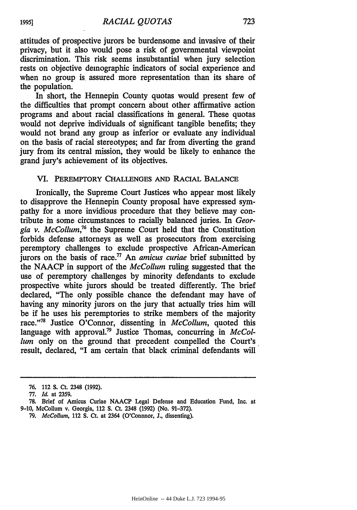attitudes of prospective jurors be burdensome and invasive of their privacy, but it also would pose a risk of governmental viewpoint discrimination. This risk seems insubstantial when jury selection rests on objective demographic indicators of social experience and when no group is assured more representation than its share of the population.

In short, the Hennepin County quotas would present few of the difficulties that prompt concern about other affirmative action programs and about racial classifications in general. These quotas would not deprive individuals of significant tangible benefits; they would not brand any group as inferior or evaluate any individual on the basis of racial stereotypes; and far from diverting the grand jury from its central mission, they would be likely to enhance the grand jury's achievement of its objectives.

#### VI. PEREMPTORY **CHALLENGES AND** RACIAL BALANCE

Ironically, the Supreme Court Justices who appear most likely to disapprove the Hennepin County proposal have expressed sympathy for a more invidious procedure that they believe may contribute in some circumstances to racially balanced juries. In *Georgia v. McCollum,76* the Supreme Court held that the Constitution forbids defense attorneys as well as prosecutors from exercising peremptory challenges to exclude prospective African-American jurors on the basis of race.<sup>77</sup> An *amicus curiae* brief submitted by the NAACP in support of the *McCollum* ruling suggested that the use of peremptory challenges by minority defendants to exclude prospective white jurors should be treated differently. The brief declared, "The only possible chance the defendant may have of having any minority jurors on the jury that actually tries him will be if he uses his peremptories to strike members of the majority race."'78 Justice O'Connor, dissenting in *McCollum,* quoted this language with approval.<sup>79</sup> Justice Thomas, concurring in *McCollum* only on the ground that precedent compelled the Court's result, declared, "I am certain that black criminal defendants will

**<sup>76.</sup>** 112 **S.** Ct. 2348 (1992).

<sup>77.</sup> *Id.* at 2359.

**<sup>78.</sup>** Brief of Amicus Curiae NAACP Legal Defense and Education Fund, Inc. at 9-10, McCollum v. Georgia, 112 **S.** Ct. 2348 (1992) (No. 91-372).

*<sup>79.</sup> McCollum,* 112 **S.** Ct. at 2364 (O'Connnor, **J.,** dissenting).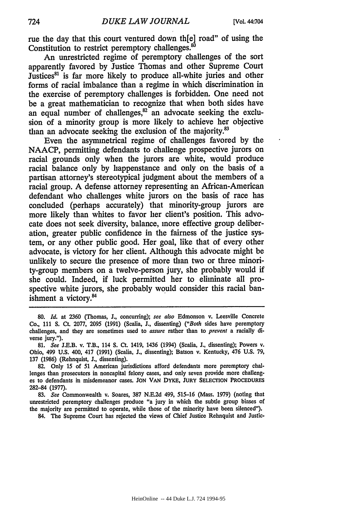rue the day that this court ventured down th[e] road" of using the Constitution to restrict peremptory challenges.<sup>80</sup>

**An** unrestricted regime of peremptory challenges of the sort apparently favored **by** Justice Thomas and other Supreme Court Justices<sup>81</sup> is far more likely to produce all-white juries and other forms of racial imbalance than a regime in which discrimination in the exercise of peremptory challenges is forbidden. One need not be a great mathematician to recognize that when both sides have an equal number of challenges, $^{82}$  an advocate seeking the exclusion of a minority group is more likely to achieve her objective than an advocate seeking the exclusion of the majority.<sup>83</sup>

Even the asymmetrical regime of challenges favored **by** the **NAACP,** permitting defendants to challenge prospective jurors on racial grounds only when the jurors are white, would produce racial balance only **by** happenstance and only on the basis of a partisan attorney's stereotypical judgment about the members of a racial group. **A** defense attorney representing an African-American defendant who challenges white jurors on the basis of race has concluded (perhaps accurately) that minority-group jurors are more likely than whites to favor her client's position. This advocate does not seek diversity, balance, more effective group deliberation, greater public confidence in the fairness of the justice system, or any other public good. Her goal, like that of every other advocate, is victory for her client. Although this advocate might be unlikely to secure the presence of more than two or three minority-group members on a twelve-person jury, she probably would if she could. Indeed, if luck permitted her to eliminate all prospective white jurors, she probably would consider this racial banishment a victory. $84$ 

84. The Supreme Court has rejected the views of Chief Justice Rehnquist and Justic-

<sup>80.</sup> *Id.* at 2360 (Thomas, J., concurring); see also Edmonson v. Leesville Concrete Co., 111 S. Ct. 2077, 2095 (1991) (Scalia, **J.,** dissenting) *("Both* sides have peremptory challenges, and they are sometimes used to *assure* rather than to *prevent* a racially diverse jury.").

<sup>81.</sup> *See* **J.E.B.** v. T.B., 114 **S.** Ct. 1419, 1436 (1994) (Scalia, J., dissenting); Powers v. Ohio, 499 U.S. 400, 417 (1991) (Scalia, **J.,** dissenting); Batson v. Kentucky, 476 U.S. 79, 137 (1986) (Rehnquist, **J.,** dissenting).

<sup>82.</sup> Only 15 of 51 American jurisdictions afford defendants more peremptory challenges than prosecutors in noncapital felony cases, and only seven provide more challenges to defendants in misdemeanor cases. **JON VAN** DYKE, **JURY SELECTION** PROCEDURES 282-84 (1977).

<sup>83.</sup> *See* Commonwealth v. Soares, 387 N.E.2d 499, 515-16 (Mass. 1979) (noting that unrestricted peremptory challenges produce "a jury in which the subtle group biases of the majority are permitted to operate, while those of the minority have been silenced").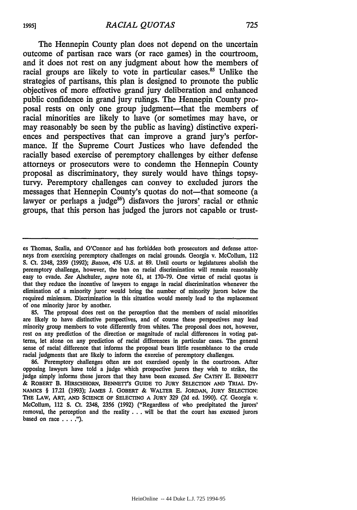The Hennepin County plan does not depend on the uncertain outcome of partisan race wars (or race games) in the courtroom, and it does not rest on any judgment about how the members of racial groups are likely to vote in particular cases.<sup>85</sup> Unlike the strategies of partisans, this plan is designed to promote the public objectives of more effective grand jury deliberation and enhanced public confidence in grand jury rulings. The Hennepin County proposal rests on only one group judgment-that the members of racial minorities are likely to have (or sometimes may have, or may reasonably be seen **by** the public as having) distinctive experiences and perspectives that can improve a grand jury's performance. If the Supreme Court Justices who have defended the racially based exercise of peremptory challenges **by** either defense attorneys or prosecutors were to condemn the Hennepin County proposal as discriminatory, they surely would have things topsyturvy. Peremptory challenges can convey to excluded jurors the messages that Hennepin County's quotas do not—that someone (a lawyer or perhaps a judge<sup>86</sup>) disfavors the jurors' racial or ethnic groups, that this person has judged the jurors not capable or trust-

**85.** The proposal does rest on the perception that the members of racial minorities are likely to have distinctive perspectives, and of course these perspectives may lead minority group members to vote differently from whites. The proposal does not, however, rest on any prediction of the direction or magnitude of racial differences in voting patterns, let alone on any prediction of racial differences in particular cases. The general sense of racial difference that informs the proposal bears little resemblance to the crude racial judgments that are likely to inform the exercise of peremptory challenges.

86. Peremptory challenges often are not exercised openly in the courtroom. After opposing lawyers have told a judge which prospective jurors they wish to strike, the judge simply informs these jurors that they have been excused. *See* CATHY E. **BENNETT** & ROBERT B. HIRSCHHORN, BENNETT'S GUIDE **TO JURY SELECTION AND TRIAL DY-NAMICS** § **17.21 (1993); JAMES J. GOBERT & WALTER E. JORDAN, JURY SELECTION: THE LAW, ART, AND SCIENCE OF SELECTING A JURY 329 (2d** ed. **1990).** *Cf.* Georgia v. McCollum, 112 **S.** Ct. 2348, **2356 (1992)** ("Regardless of who precipitated the jurors' removal, the perception and the reality . . . will be that the court has excused jurors based on race . . **").**

es Thomas, Scalia, and O'Connor and has forbidden both prosecutors and defense attorneys from exercising peremptory challenges on racial grounds. Georgia v. McCollum, 112 **S.** Ct. 2348, **2359 (1992);** *Batson,* 476 **U.S.** at **89.** Until courts or legislatures abolish the peremptory challenge, however, the ban on racial discrimination will remain reasonably easy to evade. *See* Alschuler, *supra* note 61, at 170-79. One virtue of racial quotas is that they reduce the incentive of lawyers to engage in racial discrimination whenever the elimination of a minority juror would bring the number of minority jurors below the required minimum. Discrimination in this situation would merely lead to the replacement of one minority juror by another.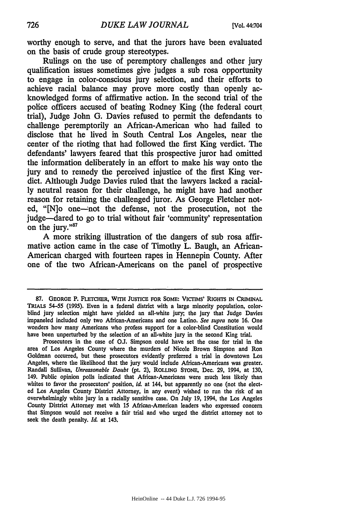worthy enough to serve, and that the jurors have been evaluated on the basis of crude group stereotypes.

Rulings on the use of peremptory challenges and other jury qualification issues sometimes give judges a sub rosa opportunity to engage in color-conscious jury selection, and their efforts to achieve racial balance may prove more costly than openly acknowledged forms of affirmative action. In the second trial of the police officers accused of beating Rodney King (the federal court trial), Judge John G. Davies refused to permit the defendants to challenge peremptorily an African-American who had failed to disclose that he lived in South Central Los Angeles, near the center of the rioting that had followed the first King verdict. The defendants' lawyers feared that this prospective juror had omitted the information deliberately in an effort to make his way onto the jury and to remedy the perceived injustice of the first King verdict. Although Judge Davies ruled that the lawyers lacked a racially neutral reason for their challenge, he might have had another reason for retaining the challenged juror. As George Fletcher noted, "[N]o one—not the defense, not the prosecution, not the judge-dared to go to trial without fair 'community' representation on the jury."<sup>87</sup>

A more striking illustration of the dangers of sub rosa affirmative action came in the case of Timothy L. Baugh, an African-American charged with fourteen rapes in Hennepin County. After one of the two African-Americans on the panel of prospective

**<sup>87.</sup>** GEORGE P. FLETCHER, **WITH JUSTICE FOR** SOME: **VICTIMS' RIGHTS IN CRIMINAL TRIALS** 54-55 **(1995).** Even in a federal district with a large minority population, colorblind jury selection might have yielded an all-white jury; the jury that Judge Davies impaneled included only two African-Americans and one Latino. *See supra* note **16.** One wonders how many Americans who profess support for a color-blind Constitution would have been unperturbed **by** the selection of an all-white jury in the second King trial.

Prosecutors in the case of **OJ.** Simpson could have set the case for trial in the area of **Los** Angeles County where the murders of Nicole Brown Simpson and Ron Goldman occurred, but these prosecutors evidently preferred a trial in downtown Los Angeles, where the likelihood that the jury would include African-Americans was greater. Randall Sullivan, *Unreasonable Doubt* (pt. 2), **ROLLING STONE,** Dec. **29,** 1994, at **130,** 149. Public opinion polls indicated that African-Americans were much less likely than whites to favor the prosecutors' position, *id.* at 144, but apparently no one (not the elected Los Angeles County District Attorney, in any event) wished to run the risk of an overwhelmingly white jury in a racially sensitive case. On July **19,** 1994, the Los Angeles County District Attorney met with 15 African-American leaders who expressed concern that Simpson would not receive a fair trial and who urged the district attorney not to seek the death penalty. *Id.* at 143.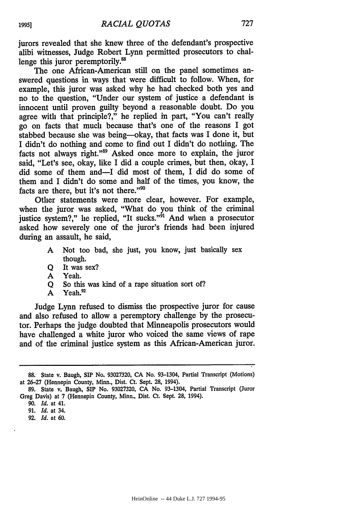jurors revealed that she knew three of the defendant's prospective alibi witnesses, Judge Robert Lynn permitted prosecutors to challenge this juror peremptorily.<sup>88</sup>

The one African-American still on the panel sometimes answered questions in ways that were difficult to follow. When, for example, this juror was asked why he had checked both yes and no to the question, "Under our system of justice a defendant is innocent until proven guilty beyond a reasonable doubt. Do you agree with that principle?," he replied in part, "You can't really go on facts that much because that's one of the reasons I got stabbed because she was being-okay, that facts was I done it, but I didn't do nothing and come to find out I didn't do nothing. The facts not always right."<sup>89</sup> Asked once more to explain, the juror said, "Let's see, okay, like I did a couple crimes, but then, okay, I did some of them and-I did most of them, I did do some of them and I didn't do some and half of the times, you know, the facts are there, but it's not there."<sup>90</sup>

Other statements were more clear, however. For example, when the juror was asked, "What do you think of the criminal justice system?," he replied, "It sucks."<sup>51</sup> And when a prosecutor asked how severely one of the juror's friends had been injured during an assault, he said,

- A Not too bad, she just, you know, just basically sex though.
- **Q** It was sex?
- A Yeah.
- Q So this was kind of a rape situation sort of?
- A Yeah. $^{92}$

Judge Lynn refused to dismiss the prospective juror for cause and also refused to allow a peremptory challenge by the prosecutor. Perhaps the judge doubted that Minneapolis prosecutors would have challenged a white juror who voiced the same views of rape and of the criminal justice system as this African-American juror.

<sup>88.</sup> State v. Baugh, SIP No. 93027320, CA No. 93-1304, Partial Transcript (Motions) at 26-27 (Hennepin County, Minn., Dist. Ct. Sept. 28, 1994).

<sup>89.</sup> State v. Baugh, SIP No. 93027320, CA No. 93-1304, Partial Transcript (Juror Greg Davis) at 7 (Hennepin County, Minn., Dist. Ct. Sept. 28, 1994).

*<sup>90.</sup> Id.* at 41.

<sup>91.</sup> Id. at 34.

<sup>92.</sup> *Id.* at 60.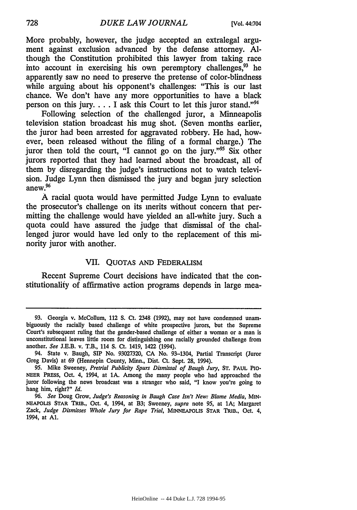More probably, however, the judge accepted an extralegal argument against exclusion advanced by the defense attorney. Although the Constitution prohibited this lawyer from taking race into account in exercising his own peremptory challenges, $93$  he apparently saw no need to preserve the pretense of color-blindness while arguing about his opponent's challenges: "This is our last chance. We don't have any more opportunities to have a black person on this jury.... I ask this Court to let this juror stand."<sup>94</sup>

Following selection of the challenged juror, a Minneapolis television station broadcast his mug shot. (Seven months earlier, the juror had been arrested for aggravated robbery. He had, however, been released without the filing of a formal charge.) The juror then told the court, "I cannot go on the jury."<sup>95</sup> Six other jurors reported that they had learned about the broadcast, all of them by disregarding the judge's instructions not to watch television. Judge Lynn then dismissed the jury and began jury selection anew. $^{96}$ 

A racial quota would have permitted Judge Lynn to evaluate the prosecutor's challenge on its merits without concern that permitting the challenge would have yielded an all-white jury. Such a quota could have assured the judge that dismissal of the challenged juror would have led only to the replacement of this minority juror with another.

#### VII. QUOTAS AND FEDERALISM

Recent Supreme Court decisions have indicated that the constitutionality of affirmative action programs depends in large mea-

728

<sup>93.</sup> Georgia v. McCollum, 112 **S.** Ct. 2348 (1992), may not have condemned unambiguously the racially based challenge of white prospective jurors, but the Supreme Court's subsequent ruling that the gender-based challenge of either a woman or a man is unconstitutional leaves little room for distinguishing one racially grounded challenge from another. *See* J.E.B. v. T.B., 114 **S.** Ct. 1419, 1422 (1994).

<sup>94.</sup> State v. Baugh, **SIP** No. 93027320, **CA** No. 93-1304, Partial Transcript (Juror Greg Davis) at 69 (Hennepin County, Minn., Dist. Ct. Sept. 28, 1994).

<sup>95.</sup> Mike Sweeney, *Pretrial Publicity Spurs Dismissal of Baugh Jury,* ST. PAUL PIO-**NEER** PRESS, Oct. 4, 1994, at **1A.** Among the many people who had approached the juror following the news broadcast was a stranger who said, "I know you're going to hang him, right?" *Id.*

<sup>96.</sup> *See* Doug Grow, *Judge's Reasoning in Baugh Case Isn't New: Blame Media,* MIN-NEAPOLIS STAR TRIB., Oct. 4, 1994, at B3; Sweeney, *supra* note 95, at **1A;** Margaret Zack, *Judge Dismisses Whole Jury for Rape Trial,* MINNEAPOLIS STAR TRIB., Oct. 4, 1994, at **Al.**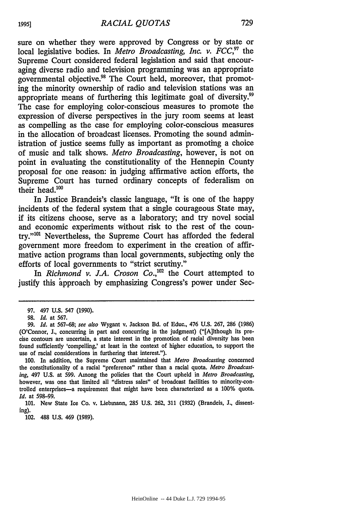sure on whether they were approved by Congress or by state or local legislative bodies. In *Metro Broadcasting, Inc. v. FCC*,<sup>97</sup> the Supreme Court considered federal legislation and said that encouraging diverse radio and television programming was an appropriate governmental objective.98 The Court held, moreover, that promoting the minority ownership of radio and television stations was an appropriate means of furthering this legitimate goal of diversity.<sup>99</sup> The case for employing color-conscious measures to promote the expression of diverse perspectives in the jury room seems at least as compelling as the case for employing color-conscious measures in the allocation of broadcast licenses. Promoting the sound administration of justice seems fully as important as promoting a choice of music and talk shows. *Metro Broadcasting,* however, is not on point in evaluating the constitutionality of the Hennepin County proposal for one reason: in judging affirmative action efforts, the Supreme Court has turned ordinary concepts of federalism on their head. $100$ 

In Justice Brandeis's classic language, "It is one of the happy incidents of the federal system that a single courageous State may, if its citizens choose, serve as a laboratory; and try novel social and economic experiments without risk to the rest of the country."<sup>101</sup> Nevertheless, the Supreme Court has afforded the federal government more freedom to experiment in the creation of affirmative action programs than local governments, subjecting only the efforts of local governments to "strict scrutiny."

In *Richmond v. J.A. Croson Co.*,<sup>102</sup> the Court attempted to justify this approach by emphasizing Congress's power under Sec-

102. **488 U.S.** 469 **(1989).**

<sup>97. 497</sup> U.S. 547 (1990).

<sup>98.</sup> *Id.* at 567.

<sup>99.</sup> *Id.* at 567-68; see *also* wygant v. Jackson Bd. of Educ., 476 U.S. 267, 286 (1986) (O'Connor, **J.,** concurring in part and concurring in the judgment) ("[A]ithough its precise contours are uncertain, a state interest in the promotion of racial diversity has been found sufficiently 'compelling,' at least in the context of higher education, to support the use of racial considerations in furthering that interest.").

<sup>100.</sup> In addition, the Supreme Court maintained that *Metro Broadcasting* concerned the constitutionality of a racial "preference" rather than a racial quota. *Metro Broadcasting,* 497 U.S. at 599. Among the policies that the Court upheld in *Metro Broadcasting,* however, was one that limited all "distress sales" of broadcast facilities to minority-controlled enterprises-a requirement that might have been characterized as a 100% quota. *Id.* at 598-99.

<sup>101.</sup> New State Ice Co. v. Liebmann, 285 U.S. 262, 311 (1932) (Brandeis, **J.,** dissenting).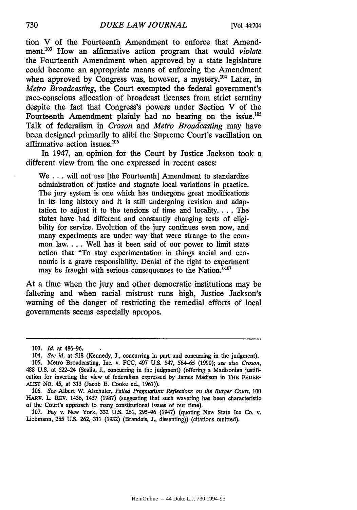tion V of the Fourteenth Amendment to enforce that Amendment.<sup>103</sup> How an affirmative action program that would *violate* the Fourteenth Amendment when approved by a state legislature could become an appropriate means of enforcing the Amendment when approved by Congress was, however, a mystery.<sup>104</sup> Later, in *Metro Broadcasting,* the Court exempted the federal government's race-conscious allocation of broadcast licenses from strict scrutiny despite the fact that Congress's powers under Section V of the Fourteenth Amendment plainly had no bearing on the issue.<sup>10</sup> Talk of federalism in *Croson* and *Metro Broadcasting* may have been designed primarily to alibi the Supreme Court's vacillation on affirmative action issues. $106$ 

In 1947, an opinion for the Court by Justice Jackson took a different view from the one expressed in recent cases:

We . . . will not use [the Fourteenth] Amendment to standardize administration of justice and stagnate local variations in practice. The jury system is one which has undergone great modifications in its long history and it is still undergoing revision and adaptation to adjust it to the tensions of time and locality **....** The states have had different and constantly changing tests of eligibility for service. Evolution of the jury continues even now, and many experiments are under way that were strange to the common law. . . . Well has it been said of our power to limit state action that "To stay experimentation in things social and economic is a grave responsibility. Denial of the right to experiment may be fraught with serious consequences to the Nation."<sup>10</sup>

At a time when the jury and other democratic institutions may be faltering and when racial mistrust runs high, Justice Jackson's warning of the danger of restricting the remedial efforts of local governments seems especially apropos.

107. Fay v. New York, 332 U.S. 261, 295-96 (1947) (quoting New State Ice Co. v. Liebmann, 285 **U.S. 262, 311** (1932) (Brandeis, **J.,** dissenting)) (citations omitted).

**<sup>103.</sup>** *Id.* at 486-96.

<sup>104.</sup> *See id.* at 518 (Kennedy, **J.,** concurring in part and concurring in the judgment). 105. Metro Broadcasting, Inc. v. **FCC,** 497 U.S. 547, 564-65 (1990); *see also Croson,* 488 U.S. at 522-24 (Scalia, **J.,** concurring in the judgment) (offering a Madisonian justification for inverting the view of federalism expressed **by** James Madison in THE FEDER-ALIST No. 45, at 313 (Jacob **E.** Cooke ed., 1961)).

<sup>106.</sup> *See* Albert W. Alschuler, *Failed Pragmatism: Reflections on the Burger Court,* **100** HARV. L. REv. 1436, 1437 (1987) (suggesting that such wavering has been characteristic of the Court's approach to many constitutional issues of our time).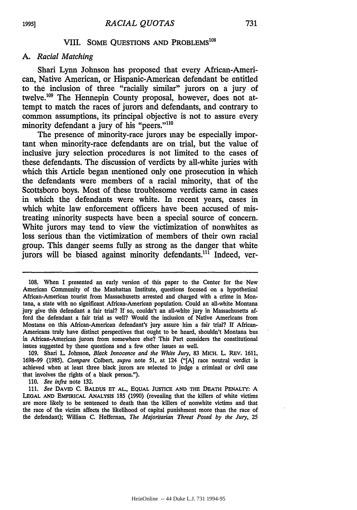### VIII. SOME QUESTIONS AND PROBLEMS<sup>108</sup>

#### *A. Racial Matching*

Shari Lynn Johnson has proposed that every African-American, Native American, or Hispanic-American defendant be entitled to the inclusion of three "racially similar" jurors on a jury of twelve.<sup>109</sup> The Hennepin County proposal, however, does not attempt to match the races of jurors and defendants, and contrary to common assumptions, its principal objective is not to assure every minority defendant a jury of his "peers."<sup>110</sup>

The presence of minority-race jurors may be especially important when minority-race defendants are on trial, but the value of inclusive jury selection procedures is not limited to the cases of these defendants. The discussion of verdicts **by** all-white juries with which this Article began mentioned only one prosecution in which the defendants were members of a racial minority, that of the Scottsboro boys. Most of these troublesome verdicts came in cases in which the defendants were white. In recent years, cases in which white law enforcement officers have been accused of mistreating minority suspects have been a special source of concern. **White** jurors may tend to view the victimization of nonwhites as less serious than the victimization of members of their own racial group. This danger seems fully as strong as the danger that white jurors will be biased against minority defendants.<sup>111</sup> Indeed, ver-

**110.** *See infra* note **132.**

**1995]**

**<sup>108.</sup>** When **I** presented an early version of this paper to the Center for the New American Community of the Manhattan Institute, questions focused on a hypothetical African-American tourist from Massachusetts arrested and charged with a crime in Montana, a state with no significant African-American population. Could an all-white Montana jury give this defendant a fair trial? **If** so, couldn't an all-white jury in Massachusetts afford the defendant a fair trial as well? Would the inclusion of Native Americans from Montana on this African-American defendant's jury assure him a fair trial? **If** African-Americans truly have distinct perspectives that ought to be heard, shouldn't Montana **bus** in African-American jurors from somewhere else? This Part considers the constitutional issues suggested **by** these questions and a few other issues as well.

**<sup>109.</sup>** Shari L. Johnson, *Black Innocence and the White Jury,* **83** MICH. L. REv. **1611, 1698-99 (1985).** *Compare* Colbert, *supra* note **51,** at 124 **("[A]** race neutral verdict is achieved when at least three black jurors are selected to judge a criminal or civil case that involves the rights of a black person.").

**<sup>111.</sup>** *See* **DAVID C.** BALDUS **ET AL., EQUAL JUSTICE AND THE DEATH PENALTY: A LEGAL AND EMPIRICAL ANALYSIS 185 (1990)** (revealing that the killers of white victims are more likely to be sentenced to death than the killers of nonwhite victims and that the race of the victim affects the likelihood of capital punishment more than the race of the defendant); William **C.** Heffernan, *The Majoritarian Threat Posed by the Jury, 25*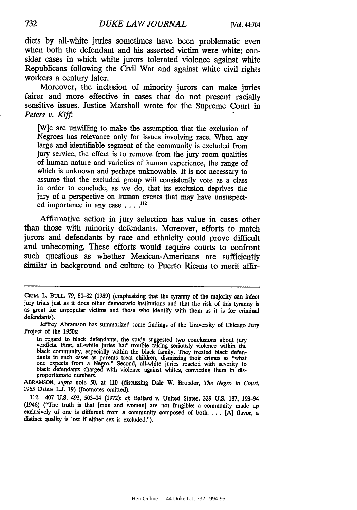dicts by all-white juries sometimes have been problematic even when both the defendant and his asserted victim were white; consider cases in which white jurors tolerated violence against white Republicans following the Civil War and against white civil rights workers a century later.

Moreover, the inclusion of minority jurors can make juries fairer and more effective in cases that do not present racially sensitive issues. Justice Marshall wrote for the Supreme Court in *Peters v. Kiffi.*

[W]e are unwilling to make the assumption that the exclusion of Negroes has relevance only for issues involving race. When any large and identifiable segment of the community is excluded from jury service, the effect is to remove from the jury room qualities of human nature and varieties of human experience, the range of which is unknown and perhaps unknowable. It is not necessary to assume that the excluded group will consistently vote as a class in order to conclude, as we do, that its exclusion deprives the jury of a perspective on human events that may have unsuspected importance in any case  $\ldots$ <sup>112</sup>

Affirmative action in jury selection has value in cases other than those with minority defendants. Moreover, efforts to match jurors and defendants by race and ethnicity could prove difficult and unbecoming. These efforts would require courts to confront such questions as whether Mexican-Americans are sufficiently similar in background and culture to Puerto Ricans to merit affir-

In regard to black defendants, the study suggested two conclusions about jury verdicts. First, all-white juries had trouble taking seriously violence within the black community, especially within the black family. They treated black defendants in such cases as parents treat children, dismissing their crimes as "what one expects from a Negro." Second, all-white juries reacted with severity to black defendants charged with violence against whites, convicting them in disproportionate numbers.

ABRAMSON, *supra* note 50, at 110 (discussing Dale W. Broeder, *The Negro in Court,* 1965 DUKE **L.J.** 19) (footnotes omitted).

112. 407 U.S. 493, 503-04 (1972); *cf.* Ballard v. United States, 329 U.S. 187, 193-94 (1946) ("The truth is that [men and women] are not fungible; a community made up exclusively of one is different from a community composed of both **....** [A] flavor, a distinct quality is lost if either sex is excluded.").

CRIM. L. BULL. **79,** 80-82 (1989) (emphasizing that the tyranny of the majority can infect jury trials just as it does other democratic institutions and that the risk of this tyranny is as great for unpopular victims and those who identify with them as it is for criminal defendants).

Jeffrey Abramson has summarized some findings of the University of Chicago Jury Project of the 1950s: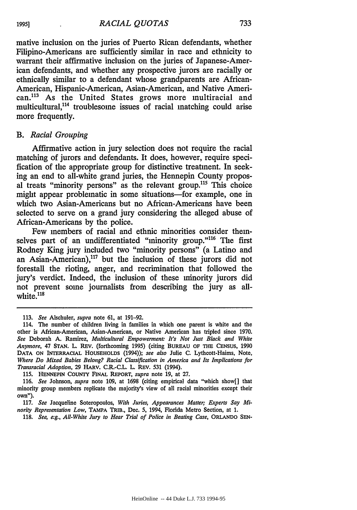mative inclusion on the juries of Puerto Rican defendants, whether Filipino-Americans are sufficiently similar in race and ethnicity to warrant their affirmative inclusion on the juries of Japanese-American defendants, and whether any prospective jurors are racially or ethnically similar to a defendant whose grandparents are African-American, Hispanic-American, Asian-American, and Native American.<sup>113</sup> As the United States grows more multiracial and multicultural,<sup>114</sup> troublesome issues of racial matching could arise more frequently.

#### *B. Racial Grouping*

Affirmative action in jury selection does not require the racial matching of jurors and defendants. It does, however, require specification of the appropriate group for distinctive treatment. In seeking an end to all-white grand juries, the Hennepin County proposal treats "minority persons" as the relevant group.<sup>115</sup> This choice might appear problematic in some situations-for example, one in which two Asian-Americans but no African-Americans have been selected to serve on a grand jury considering the alleged abuse of African-Americans by the police.

Few members of racial and ethnic minorities consider themselves part of an undifferentiated "minority group."<sup>116</sup> The first Rodney King jury included two "minority persons" (a Latino and an Asian-American),<sup>117</sup> but the inclusion of these jurors did not forestall the rioting, anger, and recrimination that followed the jury's verdict. Indeed, the inclusion of these minority jurors did not prevent some journalists from describing the jury as allwhite. $118$ 

**115.** HENNEPIN COUNTY FINAL REPORT, *supra* note **19,** at **27.**

118. See, e.g., All-White Jury to Hear Trial of Police in Beating Case, ORLANDO SEN-

**<sup>113.</sup>** *See* Alschuler, *supra* note 61, at 191-92.

<sup>114.</sup> The number of children living in families in which one parent is white and the other is African-American, Asian-American, or Native American has tripled since 1970. *See* Deborah **A.** Ramirez, *Multicultural Empowerment: It's Not Just Black and White Anymore,* 47 STAN. L. REV. (forthcoming 1995) (citing **BUREAU OF** THE **CENSUS,** 1990 **DATA ON** INTERRACIAL HOUSEHOLDS (1994)); *see also* Julie C. Lythcott-Haims, Note, *Where Do Mixed Babies Belong? Racial Classification in America and Its Implications for Transracial Adoption,* **29** HARV. C.R.-C.L. L. REV. 531 (1994).

<sup>116.</sup> *See* Johnson, *supra* note 109, at 1698 (citing empirical data "which show[] that minority group members replicate the majority's view of all racial minorities except their own").

**<sup>117.</sup>** *See* Jacqueline Soteropoulos, *With Juries, Appearances Matter; Experts Say Minority Representation Low,* TAMPA TRIB., Dec. 5, 1994, Florida Metro Section, at 1.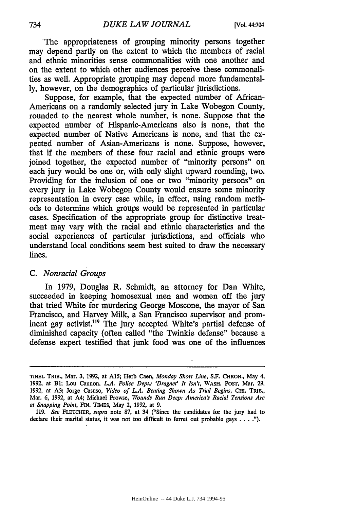The appropriateness of grouping minority persons together may depend partly on the extent to which the members of racial and ethnic minorities sense commonalities with one another and on the extent to which other audiences perceive these commonalities as well. Appropriate grouping may depend more fundamental**ly,** however, on the demographics of particular jurisdictions.

Suppose, for example, that the expected number of African-Americans on a randomly selected jury in Lake Wobegon County, rounded to the nearest whole number, is none. Suppose that the expected number of Hispanic-Americans also is none, that the expected number of Native Americans is none, and that the expected number of Asian-Americans is none. Suppose, however, that if the members of these four racial and ethnic groups were joined together, the expected number of "minority persons" on each jury would be one or, with only slight upward rounding, two. Providing for the inclusion of one or two "minority persons" on every jury in Lake Wobegon County would ensure some minority representation in every case while, in effect, using random methods to determine which groups would be represented in particular cases. Specification of the appropriate group for distinctive treatment may vary with the racial and ethnic characteristics and the social experiences of particular jurisdictions, and officials who understand local conditions seem best suited to draw the necessary lines.

#### *C. Nonracial Groups*

In **1979,** Douglas R. Schmidt, an attorney for Dan White, succeeded in keeping homosexual men and women off the jury that tried White for murdering George Moscone, the mayor of San Francisco, and Harvey Milk, a San Francisco supervisor and prominent gay activist.<sup>119</sup> The jury accepted White's partial defense of diminished capacity (often called "the Twinkie defense" because a defense expert testified that junk food was one of the influences

**119.** *See FLETCHER, supra* note **87,** at 34 ("Since the candidates for the jury had to declare their marital status, it was not too difficult to ferret out probable gays . . . .").

**TINEL** TRIB., Mar. **3, 1992,** at **A15;** Herb Caen, *Monday Short Line,* **S.F. CHRON.,** May 4, **1992,** at B1; Lou Cannon, *L.A. Police Dept.: 'Dragnet' It Isn't,* WASH. POST, Mar. **29,** 1992, at **A3;** Jorge Casuso, *Video of L.A. Beating Shown As Trial Begins,* **CHI.** TRIB., Mar. **6, 1992,** at A4; Michael Prowse, *Wounds Run Deep: America's Racial Tensions Are at Snapping Point,* FIN. TIMES, May 2, 1992, at **9.**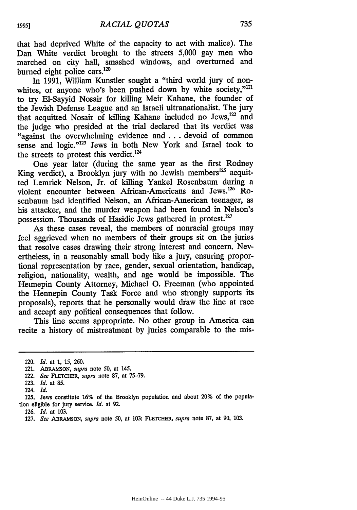that had deprived White of the capacity to act with malice). The Dan White verdict brought to the streets 5,000 gay men who marched on city hall, smashed windows, and overturned and burned eight police cars.<sup>120</sup>

In 1991, William Kunstler sought a "third world jury of nonwhites, or anyone who's been pushed down by white society."<sup>121</sup> to try EI-Sayyid Nosair for killing Meir Kahane, the founder of the Jewish Defense League and an Israeli ultranationalist. The jury that acquitted Nosair of killing Kahane included no Jews,<sup>122</sup> and the judge who presided at the trial declared that its verdict was "against the overwhelming evidence and **...** devoid of common sense and logic."<sup>123</sup> Jews in both New York and Israel took to the streets to protest this verdict.<sup>124</sup>

One year later (during the same year as the first Rodney King verdict), a Brooklyn jury with no Jewish members<sup>125</sup> acquitted Lemrick Nelson, Jr. of killing Yankel Rosenbaum during a violent encounter between African-Americans and Jews.<sup>126</sup> Rosenbaum had identified Nelson, an African-American teenager, as his attacker, and the murder weapon had been found in Nelson's possession. Thousands of Hasidic Jews gathered in protest.

As these cases reveal, the members of nonracial groups may feel aggrieved when no members of their groups sit on the juries that resolve cases drawing their strong interest and concern. Nevertheless, in a reasonably small body like a jury, ensuring proportional representation by race, gender, sexual orientation, handicap, religion, nationality, wealth, and age would be impossible. The Hennepin County Attorney, Michael **0.** Freeman (who appointed the Hennepin County Task Force and who strongly supports its proposals), reports that he personally would draw the line at race and accept any political consequences that follow.

This line seems appropriate. No other group in America can recite a history of mistreatment by juries comparable to the mis-

126. *Id.* at 103.

<sup>120.</sup> *Id.* at 1, 15, 260.

<sup>121.</sup> ABRAMSON, *supra* note 50, at 145.

<sup>122.</sup> *See* FLETCHER, *supra* note **87,** at **75-79.**

**<sup>123.</sup>** *Id.* at **85.**

<sup>124.</sup> *Id.*

<sup>125.</sup> Jews constitute 16% of the Brooklyn population and about 20% of the population eligible for jury service. *Id.* at 92.

<sup>127.</sup> *See* **ABRAMSON,** *supra* note 50, at 103; **FLETCHER,** *supra* note 87, at 90, 103.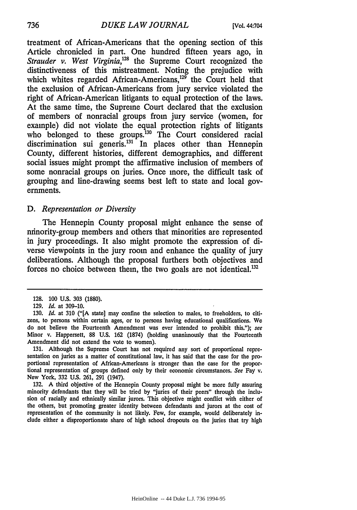treatment of African-Americans that the opening section of this Article chronicled in part. One hundred fifteen years ago, in *Strauder v. West Virginia,128* the Supreme Court recognized the distinctiveness of this mistreatment. Noting the prejudice with which whites regarded African-Americans,<sup>129</sup> the Court held that the exclusion of African-Americans from jury service violated the right of African-American litigants to equal protection of the laws. At the same time, the Supreme Court declared that the exclusion of members of nonracial groups from jury service (women, for example) did not violate the equal protection rights of litigants who belonged to these groups.<sup>130</sup> The Court considered racial discrimination sui generis.<sup>131</sup> In places other than Hennepin County, different histories, different demographics, and different social issues might prompt the affirmative inclusion of members of some nonracial groups on juries. Once more, the difficult task of grouping and line-drawing seems best left to state and local governments.

#### *D. Representation or Diversity*

The Hennepin County proposal might enhance the sense of minority-group members and others that minorities are represented in jury proceedings. It also might promote the expression of diverse viewpoints in the jury room and enhance the quality of jury deliberations. Although the proposal furthers both objectives and forces no choice between them, the two goals are not identical.

**131.** Although the Supreme Court has not required any sort of proportional representation on juries as a matter of constitutional law, it has said that the case for the proportional representation of African-Americans is stronger than the case for the proportional representation of groups defined only **by** their economic circumstances. See **Fay** v. New York, **332 U.S. 261, 291** (1947).

**132. A** third objective of the Hennepin County proposal might be more fully assuring minority defendants that they will be tried **by** "juries of their peers" through the inclusion of racially and ethnically similar jurors. This objective might conflict with either of the others, but promoting greater identity between defendants and jurors at the cost of representation of the community is not likely. Few, for example, would deliberately in**clude** either a disproportionate share of high school dropouts on the juries that try high

736

**<sup>128. 100</sup> U.S. 303 (1880).**

**<sup>129.</sup>** *Id.* at **309-10.**

**<sup>130.</sup>** *Id.* at **310 ("[A** state] may confine the selection to males, to freeholders, to citizens, to persons within certain ages, or to persons having educational qualifications. **We** do not believe the Fourteenth Amendment was ever intended to prohibit this."); see Minor v. Happersett, **88 U.S. 162 (1874)** (holding unanimously that the Fourteenth Amendment did not extend the vote to women).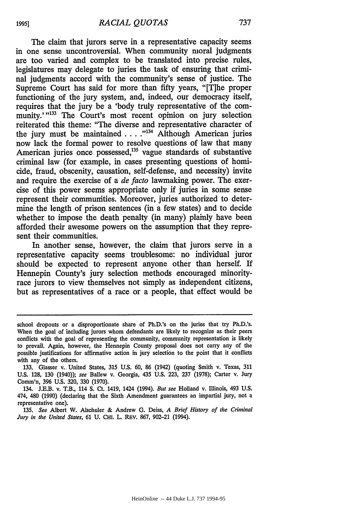The claim that jurors serve in a representative capacity seems in one sense uncontroversial. When community moral judgments are too varied and complex to be translated into precise rules, legislatures may delegate to juries the task of ensuring that criminal judgments accord with the community's sense of justice. The Supreme Court has said for more than fifty years, "[T]he proper functioning of the jury system, and, indeed, our democracy itself, requires that the jury be a 'body truly representative of the community."<sup>133</sup> The Court's most recent opinion on jury selection reiterated this theme: "The diverse and representative character of the jury must be maintained. . **. .""** Although American juries now lack the formal power to resolve questions of law that many American juries once possessed,<sup>135</sup> vague standards of substantive criminal law (for example, in cases presenting questions of homicide, fraud, obscenity, causation, self-defense, and necessity) invite and require the exercise of a *de* facto lawmaking power. The exercise of this power seems appropriate only if juries in some sense represent their communities. Moreover, juries authorized to determine the length of prison sentences (in a few states) and to decide whether to impose the death penalty (in many) plainly have been afforded their awesome powers on the assumption that they represent their communities.

In another sense, however, the claim that jurors serve in a representative capacity seems troublesome: no individual juror should be expected to represent anyone other than herself. If Hennepin County's jury selection methods encouraged minorityrace jurors to view themselves not simply as independent citizens, but as representatives of a race or a people, that effect would be

**1995]**

school dropouts or a disproportionate share of Ph.D.'s on the juries that try Ph.D.'s. When the goal of including jurors whom defendants are likely to recognize as their peers conflicts with the goal of representing the community, community representation is likely to prevail. Again, however, the Hennepin County proposal does not carry any of the possible justifications for affirmative action in jury selection to the point that it conflicts with any of the others.

<sup>133.</sup> Glasser v.. United States, 315 U.S. 60, 86 (1942) (quoting Smith v. Texas, 311 **U.S.** 128, 130 (1940)); see Ballew v. Georgia, 435 U.S. 223, 237 (1978); Carter v. Jury Comm'n, 396 U.S. 320, 330 (1970).

<sup>134.</sup> J.E.B. v. T.B., 114 **S.** Ct. 1419, 1424 (1994). *But see* Holland v. Illinois, 493 U.S. 474, 480 (1990) (declaring that the Sixth Amendment guarantees an impartial jury, not a representative one).

<sup>135.</sup> *See* Albert W. Alschuler & Andrew **G.** Deiss, *A Brief History of the Criminal Jury in the United States,* 61 U. **CHI.** L. REV. 867, 902-21 (1994).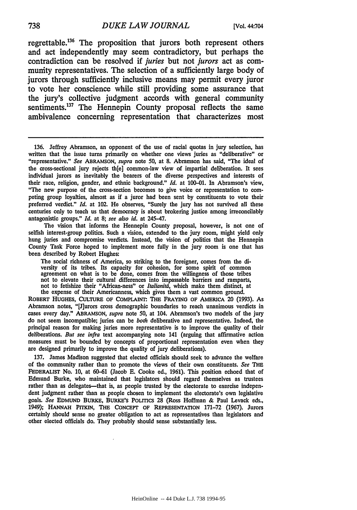regrettable.136 The proposition that jurors both represent others and act independently may seem contradictory, but perhaps the contradiction can be resolved if *juries* but not *jurors* act as community representatives. The selection of a sufficiently large body of jurors through sufficiently inclusive means may permit every juror to vote her conscience while still providing some assurance that the jury's collective judgment accords with general community sentiments.<sup>137</sup> The Hennepin County proposal reflects the same ambivalence concerning representation that characterizes most

The vision that informs the Hennepin County proposal, however, is not one of selfish interest-group politics. Such a vision, extended to the jury room, might yield only hung juries and compromise verdicts. Instead, the vision of politics that the Hennepin County Task Force hoped to implement more fully in the jury room is one that has been described by Robert Hughes:

The social richness of America, so striking to the foreigner, comes from the diversity of its tribes. Its capacity for cohesion, for some spirit of common agreement on what is to be done, comes from the willingness of those tribes not to elevate their cultural differences into impassable barriers and ramparts, not to fetishize their "African-ness" or *Italianitd,* which make them distinct, at the expense of their Americanness, which gives them a vast common ground.

ROBERT **HUGHES, CULTURE OF COMPLAINT. THE FRAYING OF** AMERICA 20 (1993). As Abramson notes, "[J]urors cross demographic boundaries to reach unanimous verdicts in cases every day." ABRAMSON, *supra* note 50, at 104. Abramson's two models of the jury do not seem incompatible; juries can be *both* deliberative and representative. Indeed, the principal reason for making juries more representative is to improve the quality of their deliberations. *But see infra* text accompanying note 141 (arguing that affirmative action measures must be bounded by concepts of proportional representation even when they are designed primarily to improve the quality of jury deliberations).

137. James Madison suggested that elected officials should seek to advance the welfare of the community rather than to promote the views of their own constituents. *See* **THE FEDERALIST** No. 10, at 60-61 (Jacob **E.** Cooke ed., 1961). This position echoed that of Edmund Burke, who maintained that legislators should regard themselves as trustees rather than as delegates-that is, as people trusted **by** the electorate to exercise independent judgment rather than as people chosen to implement the electorate's own legislative goals. See EDMUND BURKE, BURKE'S POLITICS 28 (Ross Hoffman & Paul Levack eds., 1949); HANNAH PITKIN, THE CONCEPT OF REPRESENTATION 171-72 (1967). Jurors certainly should sense no greater obligation to act as representatives than legislators and other elected officials do. They probably should sense substantially less.

<sup>136.</sup> Jeffrey Abramson, an opponent of the use of racial quotas in jury selection, has written that the issue turns primarily on whether one views juries as "deliberative" or "representative." *See* ABRAMSON, *supra* note 50, at 8. Abramson has said, "The ideal of the cross-sectional jury rejects th[e] common-law view of impartial deliberation. It sees individual jurors as inevitably the bearers of the diverse perspectives and interests of their race, religion, gender, and ethnic background." *Id.* at 100-01. In Abramson's view, "The new purpose of the cross-section becomes to give voice or representation to competing group loyalties, almost as if a juror had been sent by constituents to vote their preferred verdict." *Id.* at 102. He observes, "Surely the jury has not survived all these centuries only to teach us that democracy is about brokering justice among irreconcilably antagonistic groups." *Id.* at 8; *see also id.* at 245-47.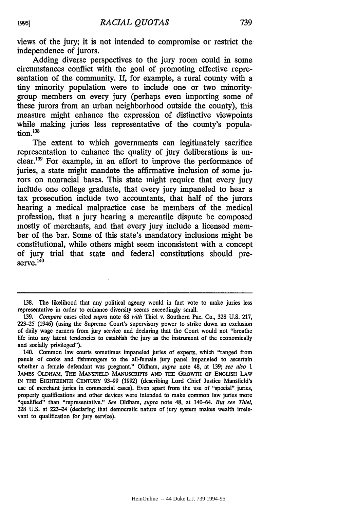views of the jury; it is not intended to compromise or restrict the independence of jurors.

Adding diverse perspectives to the jury room could in some circumstances conflict with the goal of promoting effective representation of the community. If, for example, a rural county with a tiny minority population were to include one or two minoritygroup members on every jury (perhaps even importing some of these jurors from an urban neighborhood outside the county), this measure might enhance the expression of distinctive viewpoints while making juries less representative of the county's population.138

The extent to which governments can legitimately sacrifice representation to enhance the quality of jury deliberations is unclear.139 For example, in an effort to improve the performance of juries, a state might mandate the affirmative inclusion of some jurors on nonracial bases. This state might require that every jury include one college graduate, that every jury impaneled to hear a tax prosecution include two accountants, that half of the jurors hearing a medical malpractice case be members of the medical profession, that a jury hearing a mercantile dispute be composed mostly of merchants, and that every jury include a licensed member of the bar. Some of this state's mandatory inclusions might be constitutional, while others might seem inconsistent with a concept of jury trial that state and federal constitutions should pre $s$ erve. $^{14}$ 

**<sup>138.</sup>** The likelihood that any political agency would in fact vote to make juries less representative in order to enhance diversity seems exceedingly small.

<sup>139.</sup> *Compare* cases cited *supra* note 68 *with* Thiel v. Southern Pac. Co., 328 U.S. 217, 223-25 (1946) (using the Supreme Court's supervisory power to strike down an exclusion of daily wage earners from jury service and declaring that the Court would not "breathe life into any latent tendencies to establish the jury as the instrument of the economically and socially privileged").

<sup>140.</sup> Common law courts sometimes impaneled juries of experts, which "ranged from panels of cooks and fishmongers to the all-female jury panel impaneled to ascertain whether a female defendant was pregnant." Oldham, *supra* note 48, at 139; *see also 1* **JAMES** OLDHAM, THE **MANSFIELD** MANUSCRIPTS **AND THE** GROWTH **OF ENGLISH** LAW **IN THE** EIGHTEENTH **CENTURY 93-99 (1992)** (describing Lord Chief Justice Mansfield's use of merchant juries in commercial cases). Even apart from the use of "special" juries, property qualifications and other devices were intended to make common law juries more "qualified" than "representative." *See* Oldham, *supra* note 48, at 140-64. *But see Thiel,* **328 U.S.** at 223-24 (declaring that democratic nature of jury system makes wealth irrelevant to qualification for jury service).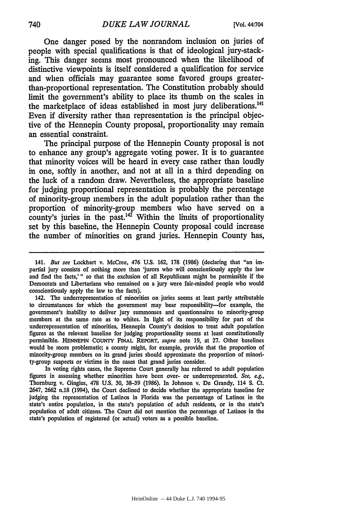One danger posed by the nonrandom inclusion on juries of people with special qualifications is that of ideological jury-stacking. This danger seems most pronounced when the likelihood of distinctive viewpoints is itself considered a qualification for service and when officials may guarantee some favored groups greaterthan-proportional representation. The Constitution probably should limit the government's ability to place its thumb on the scales in the marketplace of ideas established in most jury deliberations.<sup>141</sup> Even if diversity rather than representation is the principal objective of the Hennepin County proposal, proportionality may remain an essential constraint.

The principal purpose of the Hennepin County proposal is not to enhance any group's aggregate voting power. It is to guarantee that minority voices will be heard in every case rather than loudly in one, softly in another, and not at all in a third depending on the luck of a random draw. Nevertheless, the appropriate baseline for judging proportional representation is probably the percentage of minority-group members in the adult population rather than the proportion of minority-group members who have served on a county's juries in the past. $142$  Within the limits of proportionality set by this baseline, the Hennepin County proposal could increase the number of minorities on grand juries. Hennepin County has,

142. The underrepresentation of minorities on juries seems at least partly attributable to circumstances for which the government may bear responsibility-for example, the government's inability to deliver jury summonses and questionnaires to minority-group members at the same rate as to whites. In light of its responsibility for part of the underrepresentation of minorities, Hennepin County's decision to treat adult population figures as the relevant baseline for judging proportionality seems at least constitutionally permissible. **HENNEPIN COUNTY** FINAL REPORT, *supra* note 19, at 27. Other baselines would be more problematic; a county might, for example, provide that the proportion of minority-group members on its grand juries should approximate the proportion of minority-group suspects or victims in the cases that grand juries consider.

In voting rights cases, the Supreme Court generally has referred to adult population figures in assessing whether minorities have been over- or underrepresented. *See, e.g.,* Thornburg v. Gingles, **478** U.S. **30,** 38-39 (1986). In Johnson v. De Grandy, 114 **S.** Ct. 2647, **2662** n.18 (1994), the Court declined to decide whether the appropriate baseline for judging the representation of Latinos in Florida was the percentage of Latinos in the state's entire population, in the state's population of adult residents, or in the state's population of adult citizens. The Court did not mention the percentage of Latinos in the state's population of registered (or actual) voters as a possible baseline.

<sup>141.</sup> *But see* Lockhart v. McCree, 476 U.S. 162, 178 (1986) (declaring that "an impartial jury consists of nothing more than 'jurors who will conscientiously apply the law and find the facts,'" so that the exclusion of all Republicans might be permissible if the Democrats and Libertarians who remained on a jury were fair-minded people who would conscientiously apply the law to the facts).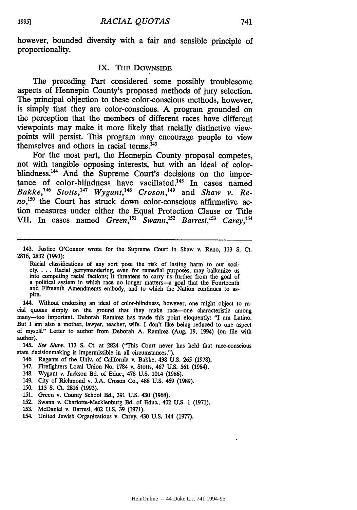however, bounded diversity with a fair and sensible principle of proportionality.

#### IX. THE DOWNSIDE

The preceding Part considered some possibly troublesome aspects of Hennepin County's proposed methods of jury selection. The principal objection to these color-conscious methods, however, is simply that they are color-conscious. A program grounded on the perception that the members of different races have different viewpoints may make it more likely that racially distinctive viewpoints will persist. This program may encourage people to view themselves and others in racial terms.<sup>143</sup>

For the most part, the Hennepin County proposal competes, not with tangible opposing interests, but with an ideal of colorblindness.<sup>144</sup> And the Supreme Court's decisions on the importance of color-blindness have vacillated.<sup>145</sup> In cases named *Bakke,146 Stotts, 47 Wygant,148 Croson,'149* and *Shaw v. Reno,<sup>5</sup> °* the Court has struck down color-conscious affirmative action measures under either the Equal Protection Clause or Title VII. In cases named *Green*,<sup>151</sup> *Swann*,<sup>152</sup> *Barresi*,<sup>153</sup> *Carey*,<sup>154</sup>

144. Without endorsing an ideal of color-blindness, however, one might object to ra- cial quotas simply on the ground that they make race-one characteristic among many-too important. Deborah Ramirez has made this point eloquently: "I am Latino. But I am also a mother, lawyer, teacher, wife. I don't like being reduced to one aspect of myself." Letter to author from Deborah A. Ramirez (Aug. 19, 1994) (on file with author).

*145. See Shaw,* 113 **S.** Ct. at 2824 ("This Court never has held that race-conscious state decisionmaking is impermissible in all circumstances.").

- 146. Regents of the Univ. of California v. Bakke, 438 U.S. 265 (1978).
- 147. Firefighters Local Union No. 1784 v. Stotts, 467 U.S. 561 (1984).
- 148. Wygant v. Jackson Bd. of Educ., 478 U.S. 1014 (1986).
- 149. City of Richmond v. J.A. Croson Co., 488 U.S. 469 (1989).
- 150. 113 **S.** Ct. **2816** (1993).
- 151. Green v. County School Bd., 391 U.S. 430 (1968).
- 152. Swann v. Charlotte-Mecklenburg Bd. of Educ., 402 U.S. 1 (1971).
- 153. McDaniel v. Barresi, 402 U.S. 39 (1971).
- 154. United Jewish Organizations v. Carey, 430 U.S. 144 (1977).

<sup>143.</sup> Justice O'Connor wrote for the Supreme Court in Shaw v. Reno, 113 S. Ct. 2816, 2832 (1993):

Racial classifications of any sort pose the risk of lasting harm to our society.... Racial gerrymandering, even for remedial purposes, may balkanize us<br>into competing racial factions; it threatens to carry us further from the goal of<br>a political system in which race no longer matters—a goal that t and Fifteenth Amendments embody, and to which the Nation continues to as- pire.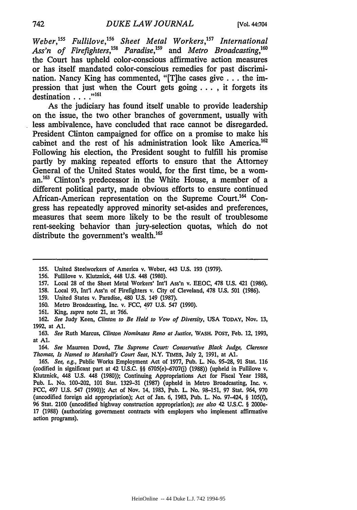Weber,<sup>155</sup> Fullilove,<sup>156</sup> Sheet Metal Workers,<sup>157</sup> International Ass'n of Firefighters,<sup>158</sup> Paradise,<sup>159</sup> and *Metro Broadcasting*,<sup>160</sup> the Court has upheld color-conscious affirmative action measures or has itself mandated color-conscious remedies for past discrimination. Nancy King has commented, "[T]he cases give **...** the impression that just when the Court gets going **. .** , it forgets its destination . . . . "<sup>161</sup>

As the judiciary has found itself unable to provide leadership on the issue, the two other branches of government, usually with less ambivalence, have concluded that race cannot be disregarded. President Clinton campaigned for office on a promise to make his cabinet and the rest of his administration look like America.<sup>162</sup> Following his election, the President sought to fulfill his promise partly **by** making repeated efforts to ensure that the Attorney General of the United States would, for the first time, be a wom**an.63** Clinton's predecessor in the White House, a member of a different political party, made obvious efforts to ensure continued African-American representation on the Supreme Court.<sup>164</sup> Congress has repeatedly approved minority set-asides and preferences, measures that seem more likely to be the result of troublesome rent-seeking behavior than jury-selection quotas, which do not distribute the government's wealth.<sup>165</sup>

- 155. United Steelworkers of America v. Weber, 443 U.S. 193 (1979).
- 156. Fullilove v. Klutznick, 448 U.S. 448 (1980).
- 157. Local 28 of the Sheet Metal Workers' Int'l Ass'n v. EEOC, 478 U.S. 421 (1986).
- 158. Local 93, Int'l Ass'n of Firefighters v. City of Cleveland, 478 U.S. 501 (1986).
- 159. United States v. Paradise, 480 U.S. 149 (1987).
- 160. Metro Broadcasting, Inc. v. FCC, 497 U.S. 547 (1990).
- 161. King, *supra* note 21, at 766.

162. *See* Judy Keen, *Clinton to* Be Held to Vow of Diversity, USA **TODAY,** Nov. 13, 1992, at **Al.**

163. *See* Ruth Marcus, *Clinton Nominates Reno at Justice,* **WASH.** POST, Feb. 12, 1993, at **Al.**

164. *See* Maureen Dowd, *The Supreme Court: Conservative Black Judge, Clarence Thomas, Is Named to Marshall's Court Seat,* N.Y. TIMES, July 2, 1991, at **Al.**

165. *See, e.g.,* Public Works Employment Act of 1977, Pub. L. No. 95-28, 91 Stat. 116 (codified in significant part at 42 U.S.C.  $\S$  6705(e)-6707(j) (1988)) (upheld in Fullilove v. Klutznick, 448 U.S. 448 (1980)); Continuing Appropriations Act for Fiscal Year 1988, Pub. L. No. 100-202, **101** Stat. 1329-31 (1987) (upheld in Metro Broadcasting, Inc. v. FCC, 497 U.S. 547 (1990)); Act of Nov. 14, 1983, Pub. L. No. 98-151, 97 Stat. 964, 970 (uncodified foreign aid appropriation); Act of Jan. 6, 1983, Pub. L. No. 97-424, § 105(0, 96 Stat. 2100 (uncodified highway construction appropriation); *see also* 42 U.S.C. § 2000e-17 (1988) (authorizing government contracts with employers who implement affirmative action programs).